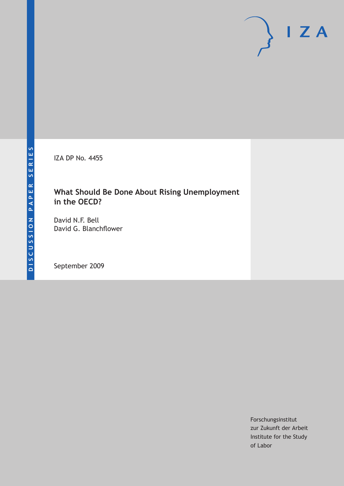IZA DP No. 4455

# **What Should Be Done About Rising Unemployment in the OECD?**

David N.F. Bell David G. Blanchflower

September 2009

Forschungsinstitut zur Zukunft der Arbeit Institute for the Study of Labor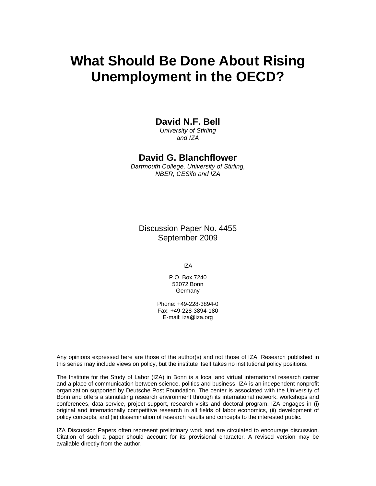# **What Should Be Done About Rising Unemployment in the OECD?**

### **David N.F. Bell**

*University of Stirling and IZA* 

### **David G. Blanchflower**

*Dartmouth College, University of Stirling, NBER, CESifo and IZA* 

Discussion Paper No. 4455 September 2009

IZA

P.O. Box 7240 53072 Bonn Germany

Phone: +49-228-3894-0 Fax: +49-228-3894-180 E-mail: iza@iza.org

Any opinions expressed here are those of the author(s) and not those of IZA. Research published in this series may include views on policy, but the institute itself takes no institutional policy positions.

The Institute for the Study of Labor (IZA) in Bonn is a local and virtual international research center and a place of communication between science, politics and business. IZA is an independent nonprofit organization supported by Deutsche Post Foundation. The center is associated with the University of Bonn and offers a stimulating research environment through its international network, workshops and conferences, data service, project support, research visits and doctoral program. IZA engages in (i) original and internationally competitive research in all fields of labor economics, (ii) development of policy concepts, and (iii) dissemination of research results and concepts to the interested public.

IZA Discussion Papers often represent preliminary work and are circulated to encourage discussion. Citation of such a paper should account for its provisional character. A revised version may be available directly from the author.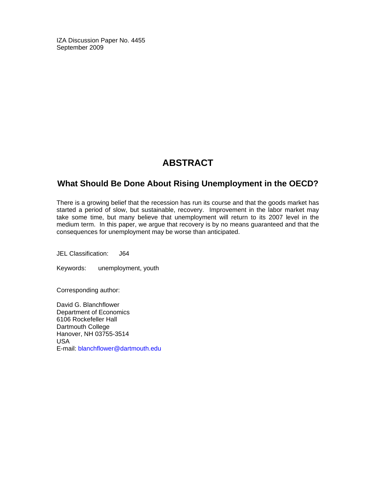IZA Discussion Paper No. 4455 September 2009

# **ABSTRACT**

### **What Should Be Done About Rising Unemployment in the OECD?**

There is a growing belief that the recession has run its course and that the goods market has started a period of slow, but sustainable, recovery. Improvement in the labor market may take some time, but many believe that unemployment will return to its 2007 level in the medium term. In this paper, we argue that recovery is by no means guaranteed and that the consequences for unemployment may be worse than anticipated.

JEL Classification: J64

Keywords: unemployment, youth

Corresponding author:

David G. Blanchflower Department of Economics 6106 Rockefeller Hall Dartmouth College Hanover, NH 03755-3514 USA E-mail: blanchflower@dartmouth.edu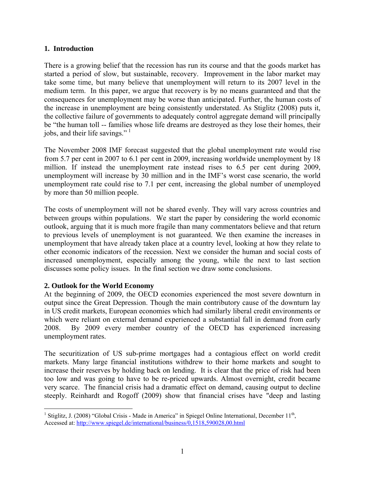#### **1. Introduction**

There is a growing belief that the recession has run its course and that the goods market has started a period of slow, but sustainable, recovery. Improvement in the labor market may take some time, but many believe that unemployment will return to its 2007 level in the medium term. In this paper, we argue that recovery is by no means guaranteed and that the consequences for unemployment may be worse than anticipated. Further, the human costs of the increase in unemployment are being consistently understated. As Stiglitz (2008) puts it, the collective failure of governments to adequately control aggregate demand will principally be "the human toll -- families whose life dreams are destroyed as they lose their homes, their jobs, and their life savings."<sup>[1](#page-3-0)</sup>

The November 2008 IMF forecast suggested that the global unemployment rate would rise from 5.7 per cent in 2007 to 6.1 per cent in 2009, increasing worldwide unemployment by 18 million. If instead the unemployment rate instead rises to 6.5 per cent during 2009, unemployment will increase by 30 million and in the IMF's worst case scenario, the world unemployment rate could rise to 7.1 per cent, increasing the global number of unemployed by more than 50 million people.

The costs of unemployment will not be shared evenly. They will vary across countries and between groups within populations. We start the paper by considering the world economic outlook, arguing that it is much more fragile than many commentators believe and that return to previous levels of unemployment is not guaranteed. We then examine the increases in unemployment that have already taken place at a country level, looking at how they relate to other economic indicators of the recession. Next we consider the human and social costs of increased unemployment, especially among the young, while the next to last section discusses some policy issues. In the final section we draw some conclusions.

### **2. Outlook for the World Economy**

At the beginning of 2009, the OECD economies experienced the most severe downturn in output since the Great Depression. Though the main contributory cause of the downturn lay in US credit markets, European economies which had similarly liberal credit environments or which were reliant on external demand experienced a substantial fall in demand from early 2008. By 2009 every member country of the OECD has experienced increasing unemployment rates.

The securitization of US sub-prime mortgages had a contagious effect on world credit markets. Many large financial institutions withdrew to their home markets and sought to increase their reserves by holding back on lending. It is clear that the price of risk had been too low and was going to have to be re-priced upwards. Almost overnight, credit became very scarce. The financial crisis had a dramatic effect on demand, causing output to decline steeply. Reinhardt and Rogoff (2009) show that financial crises have "deep and lasting

<span id="page-3-0"></span> $\overline{a}$ <sup>1</sup> Stiglitz, J. (2008) "Global Crisis - Made in America" in Spiegel Online International, December  $11<sup>th</sup>$ , Accessed at: <http://www.spiegel.de/international/business/0,1518,590028,00.html>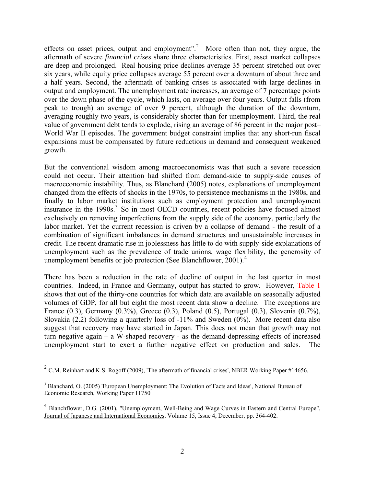effects on asset prices, output and employment".<sup>[2](#page-4-0)</sup> More often than not, they argue, the aftermath of severe *financial crises* share three characteristics. First, asset market collapses are deep and prolonged. Real housing price declines average 35 percent stretched out over six years, while equity price collapses average 55 percent over a downturn of about three and a half years. Second, the aftermath of banking crises is associated with large declines in output and employment. The unemployment rate increases, an average of 7 percentage points over the down phase of the cycle, which lasts, on average over four years. Output falls (from peak to trough) an average of over 9 percent, although the duration of the downturn, averaging roughly two years, is considerably shorter than for unemployment. Third, the real value of government debt tends to explode, rising an average of 86 percent in the major post– World War II episodes. The government budget constraint implies that any short-run fiscal expansions must be compensated by future reductions in demand and consequent weakened growth.

But the conventional wisdom among macroeconomists was that such a severe recession could not occur. Their attention had shifted from demand-side to supply-side causes of macroeconomic instability. Thus, as Blanchard (2005) notes, explanations of unemployment changed from the effects of shocks in the 1970s, to persistence mechanisms in the 1980s, and finally to labor market institutions such as employment protection and unemployment insurance in the 1990s.<sup>[3](#page-4-1)</sup> So in most OECD countries, recent policies have focused almost exclusively on removing imperfections from the supply side of the economy, particularly the labor market. Yet the current recession is driven by a collapse of demand - the result of a combination of significant imbalances in demand structures and unsustainable increases in credit. The recent dramatic rise in joblessness has little to do with supply-side explanations of unemployment such as the prevalence of trade unions, wage flexibility, the generosity of unemployment benefits or job protection (See Blanchflower, 2001).<sup>[4](#page-4-2)</sup>

There has been a reduction in the rate of decline of output in the last quarter in most countries. Indeed, in France and Germany, output has started to grow. However, Table 1 shows that out of the thirty-one countries for which data are available on seasonally adjusted volumes of GDP, for all but eight the most recent data show a decline. The exceptions are France (0.3), Germany (0.3%), Greece (0.3), Poland (0.5), Portugal (0.3), Slovenia (0.7%), Slovakia  $(2.2)$  following a quarterly loss of  $-11\%$  and Sweden  $(0\%)$ . More recent data also suggest that recovery may have started in Japan. This does not mean that growth may not turn negative again – a W-shaped recovery - as the demand-depressing effects of increased unemployment start to exert a further negative effect on production and sales. The

 $\overline{a}$ 

<span id="page-4-0"></span> $2$  C.M. Reinhart and K.S. Rogoff (2009), 'The aftermath of financial crises', NBER Working Paper #14656.

<span id="page-4-1"></span><sup>&</sup>lt;sup>3</sup> Blanchard, O. (2005) 'European Unemployment: The Evolution of Facts and Ideas', National Bureau of Economic Research, Working Paper 11750

<span id="page-4-2"></span><sup>4</sup> Blanchflower, D.G. (2001), "Unemployment, Well-Being and Wage Curves in Eastern and Central Europe", Journal of Japanese and International Economies, Volume 15, Issue 4, December, pp. 364-402.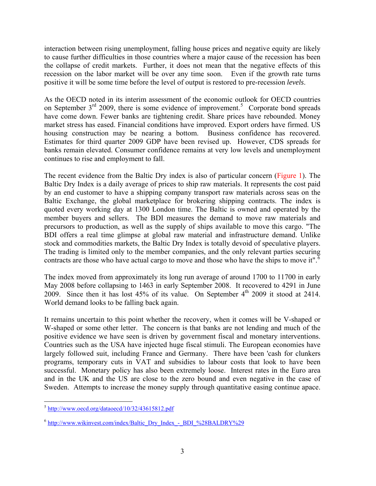interaction between rising unemployment, falling house prices and negative equity are likely to cause further difficulties in those countries where a major cause of the recession has been the collapse of credit markets. Further, it does not mean that the negative effects of this recession on the labor market will be over any time soon. Even if the growth rate turns positive it will be some time before the level of output is restored to pre-recession *levels*.

As the OECD noted in its interim assessment of the economic outlook for OECD countries on September  $3<sup>rd</sup>$  2009, there is some evidence of improvement.<sup>[5](#page-5-0)</sup> Corporate bond spreads have come down. Fewer banks are tightening credit. Share prices have rebounded. Money market stress has eased. Financial conditions have improved. Export orders have firmed. US housing construction may be nearing a bottom. Business confidence has recovered. Estimates for third quarter 2009 GDP have been revised up. However, CDS spreads for banks remain elevated. Consumer confidence remains at very low levels and unemployment continues to rise and employment to fall.

The recent evidence from the Baltic Dry index is also of particular concern (Figure 1). The Baltic Dry Index is a daily average of prices to ship raw materials. It represents the cost paid by an end customer to have a shipping company transport raw materials across seas on the Baltic Exchange, the global marketplace for brokering shipping contracts. The index is quoted every working day at 1300 London time. The Baltic is owned and operated by the member buyers and sellers. The BDI measures the demand to move raw materials and precursors to production, as well as the supply of ships available to move this cargo. "The BDI offers a real time glimpse at global raw material and infrastructure demand. Unlike stock and commodities markets, the Baltic Dry Index is totally devoid of speculative players. The trading is limited only to the member companies, and the only relevant parties securing contracts are those who have actual cargo to move and those who have the ships to move it".<sup>[6](#page-5-1)</sup>

The index moved from approximately its long run average of around 1700 to 11700 in early May 2008 before collapsing to 1463 in early September 2008. It recovered to 4291 in June 2009. Since then it has lost 45% of its value. On September 4<sup>th</sup> 2009 it stood at 2414. World demand looks to be falling back again.

It remains uncertain to this point whether the recovery, when it comes will be V-shaped or W-shaped or some other letter. The concern is that banks are not lending and much of the positive evidence we have seen is driven by government fiscal and monetary interventions. Countries such as the USA have injected huge fiscal stimuli. The European economies have largely followed suit, including France and Germany. There have been 'cash for clunkers programs, temporary cuts in VAT and subsidies to labour costs that look to have been successful. Monetary policy has also been extremely loose. Interest rates in the Euro area and in the UK and the US are close to the zero bound and even negative in the case of Sweden. Attempts to increase the money supply through quantitative easing continue apace.

<span id="page-5-0"></span> $\overline{a}$ <sup>5</sup> http://www.oecd.org/dataoecd/10/32/43615812.pdf

<span id="page-5-1"></span><sup>6</sup> http://www.wikinvest.com/index/Baltic\_Dry\_Index\_-\_BDI\_%28BALDRY%29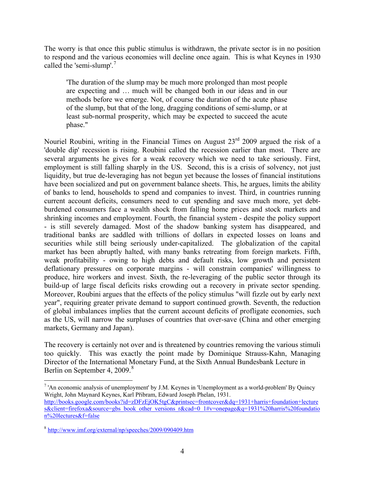The worry is that once this public stimulus is withdrawn, the private sector is in no position to respond and the various economies will decline once again. This is what Keynes in 1930 called the 'semi-slump'.<sup>[7](#page-6-0)</sup>

'The duration of the slump may be much more prolonged than most people are expecting and … much will be changed both in our ideas and in our methods before we emerge. Not, of course the duration of the acute phase of the slump, but that of the long, dragging conditions of semi-slump, or at least sub-normal prosperity, which may be expected to succeed the acute phase."

Nouriel Roubini, writing in the Financial Times on August 23rd 2009 argued the risk of a 'double dip' recession is rising. Roubini called the recession earlier than most. There are several arguments he gives for a weak recovery which we need to take seriously. First, employment is still falling sharply in the US. Second, this is a crisis of solvency, not just liquidity, but true de-leveraging has not begun yet because the losses of financial institutions have been socialized and put on government balance sheets. This, he argues, limits the ability of banks to lend, households to spend and companies to invest. Third, in countries running current account deficits, consumers need to cut spending and save much more, yet debtburdened consumers face a wealth shock from falling home prices and stock markets and shrinking incomes and employment. Fourth, the financial system - despite the policy support - is still severely damaged. Most of the shadow banking system has disappeared, and traditional banks are saddled with trillions of dollars in expected losses on loans and securities while still being seriously under-capitalized. The globalization of the capital market has been abruptly halted, with many banks retreating from foreign markets. Fifth, weak profitability - owing to high debts and default risks, low growth and persistent deflationary pressures on corporate margins - will constrain companies' willingness to produce, hire workers and invest. Sixth, the re-leveraging of the public sector through its build-up of large fiscal deficits risks crowding out a recovery in private sector spending. Moreover, Roubini argues that the effects of the policy stimulus "will fizzle out by early next year", requiring greater private demand to support continued growth. Seventh, the reduction of global imbalances implies that the current account deficits of profligate economies, such as the US, will narrow the surpluses of countries that over-save (China and other emerging markets, Germany and Japan).

The recovery is certainly not over and is threatened by countries removing the various stimuli too quickly. This was exactly the point made by Dominique Strauss-Kahn, Managing Director of the International Monetary Fund, at the Sixth Annual Bundesbank Lecture in Berlin on September 4, 2009.<sup>[8](#page-6-1)</sup>

1

<span id="page-6-0"></span> $7$  'An economic analysis of unemployment' by J.M. Keynes in 'Unemployment as a world-problem' By Quincy Wright, John Maynard Keynes, Karl Přibram, Edward Joseph Phelan, 1931. http://books.google.com/books?id=zDFzEjOK5tgC&printsec=frontcover&dq=1931+harris+foundation+lecture s&client=firefoxa&source=gbs\_book\_other\_versions\_r&cad=0\_1#v=onepage&q=1931%20harris%20foundatio n%20lectures&f=false

<span id="page-6-1"></span><sup>8</sup> http://www.imf.org/external/np/speeches/2009/090409.htm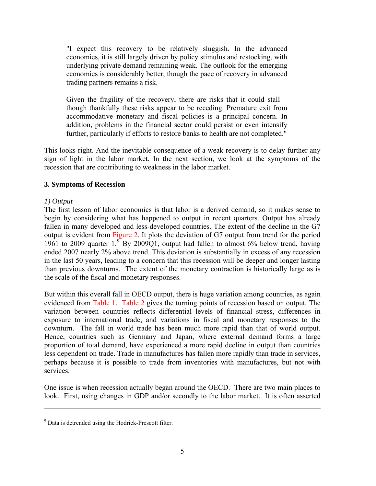"I expect this recovery to be relatively sluggish. In the advanced economies, it is still largely driven by policy stimulus and restocking, with underlying private demand remaining weak. The outlook for the emerging economies is considerably better, though the pace of recovery in advanced trading partners remains a risk.

Given the fragility of the recovery, there are risks that it could stall though thankfully these risks appear to be receding. Premature exit from accommodative monetary and fiscal policies is a principal concern. In addition, problems in the financial sector could persist or even intensify further, particularly if efforts to restore banks to health are not completed."

This looks right. And the inevitable consequence of a weak recovery is to delay further any sign of light in the labor market. In the next section, we look at the symptoms of the recession that are contributing to weakness in the labor market.

#### **3. Symptoms of Recession**

#### *1) Output*

 $\overline{a}$ 

The first lesson of labor economics is that labor is a derived demand, so it makes sense to begin by considering what has happened to output in recent quarters. Output has already fallen in many developed and less-developed countries. The extent of the decline in the G7 output is evident from Figure 2. It plots the deviation of G7 output from trend for the period 1[9](#page-7-0)61 to 2009 quarter  $1.^{\circ}$  By 2009Q1, output had fallen to almost 6% below trend, having ended 2007 nearly 2% above trend. This deviation is substantially in excess of any recession in the last 50 years, leading to a concern that this recession will be deeper and longer lasting than previous downturns. The extent of the monetary contraction is historically large as is the scale of the fiscal and monetary responses.

But within this overall fall in OECD output, there is huge variation among countries, as again evidenced from Table 1. Table 2 gives the turning points of recession based on output. The variation between countries reflects differential levels of financial stress, differences in exposure to international trade, and variations in fiscal and monetary responses to the downturn. The fall in world trade has been much more rapid than that of world output. Hence, countries such as Germany and Japan, where external demand forms a large proportion of total demand, have experienced a more rapid decline in output than countries less dependent on trade. Trade in manufactures has fallen more rapidly than trade in services, perhaps because it is possible to trade from inventories with manufactures, but not with services.

One issue is when recession actually began around the OECD. There are two main places to look. First, using changes in GDP and/or secondly to the labor market. It is often asserted

<span id="page-7-0"></span><sup>&</sup>lt;sup>9</sup> Data is detrended using the Hodrick-Prescott filter.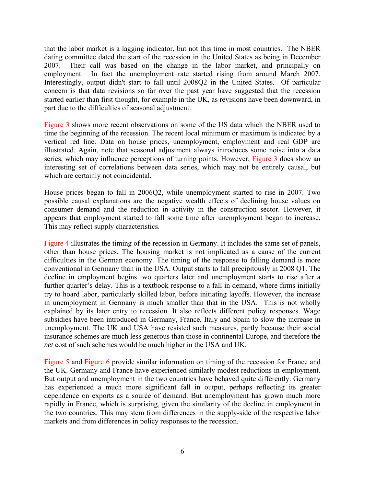that the labor market is a lagging indicator, but not this time in most countries. The NBER dating committee dated the start of the recession in the United States as being in December 2007. Their call was based on the change in the labor market, and principally on employment. In fact the unemployment rate started rising from around March 2007. Interestingly, output didn't start to fall until 2008Q2 in the United States. Of particular concern is that data revisions so far over the past year have suggested that the recession started earlier than first thought, for example in the UK, as revisions have been downward, in part due to the difficulties of seasonal adjustment.

Figure 3 shows more recent observations on some of the US data which the NBER used to time the beginning of the recession. The recent local minimum or maximum is indicated by a vertical red line. Data on house prices, unemployment, employment and real GDP are illustrated. Again, note that seasonal adjustment always introduces some noise into a data series, which may influence perceptions of turning points. However, Figure 3 does show an interesting set of correlations between data series, which may not be entirely causal, but which are certainly not coincidental.

House prices began to fall in 2006Q2, while unemployment started to rise in 2007. Two possible causal explanations are the negative wealth effects of declining house values on consumer demand and the reduction in activity in the construction sector. However, it appears that employment started to fall some time after unemployment began to increase. This may reflect supply characteristics.

Figure 4 illustrates the timing of the recession in Germany. It includes the same set of panels, other than house prices. The housing market is not implicated as a cause of the current difficulties in the German economy. The timing of the response to falling demand is more conventional in Germany than in the USA. Output starts to fall precipitously in 2008 Q1. The decline in employment begins two quarters later and unemployment starts to rise after a further quarter's delay. This is a textbook response to a fall in demand, where firms initially try to hoard labor, particularly skilled labor, before initiating layoffs. However, the increase in unemployment in Germany is much smaller than that in the USA. This is not wholly explained by its later entry to recession. It also reflects different policy responses. Wage subsidies have been introduced in Germany, France, Italy and Spain to slow the increase in unemployment. The UK and USA have resisted such measures, partly because their social insurance schemes are much less generous than those in continental Europe, and therefore the *net* cost of such schemes would be much higher in the USA and UK.

Figure 5 and Figure 6 provide similar information on timing of the recession for France and the UK. Germany and France have experienced similarly modest reductions in employment. But output and unemployment in the two countries have behaved quite differently. Germany has experienced a much more significant fall in output, perhaps reflecting its greater dependence on exports as a source of demand. But unemployment has grown much more rapidly in France, which is surprising, given the similarity of the decline in employment in the two countries. This may stem from differences in the supply-side of the respective labor markets and from differences in policy responses to the recession.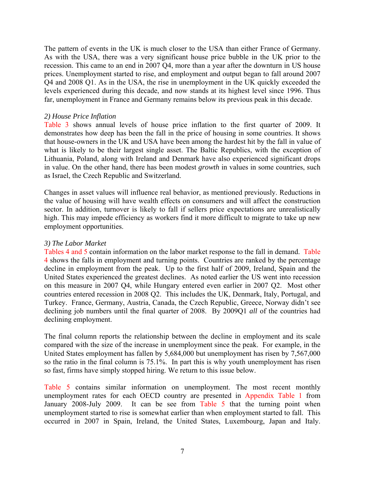The pattern of events in the UK is much closer to the USA than either France of Germany. As with the USA, there was a very significant house price bubble in the UK prior to the recession. This came to an end in 2007 Q4, more than a year after the downturn in US house prices. Unemployment started to rise, and employment and output began to fall around 2007 Q4 and 2008 Q1. As in the USA, the rise in unemployment in the UK quickly exceeded the levels experienced during this decade, and now stands at its highest level since 1996. Thus far, unemployment in France and Germany remains below its previous peak in this decade.

#### *2) House Price Inflation*

Table 3 shows annual levels of house price inflation to the first quarter of 2009. It demonstrates how deep has been the fall in the price of housing in some countries. It shows that house-owners in the UK and USA have been among the hardest hit by the fall in value of what is likely to be their largest single asset. The Baltic Republics, with the exception of Lithuania, Poland, along with Ireland and Denmark have also experienced significant drops in value. On the other hand, there has been modest *growth* in values in some countries, such as Israel, the Czech Republic and Switzerland.

Changes in asset values will influence real behavior, as mentioned previously. Reductions in the value of housing will have wealth effects on consumers and will affect the construction sector. In addition, turnover is likely to fall if sellers price expectations are unrealistically high. This may impede efficiency as workers find it more difficult to migrate to take up new employment opportunities.

#### *3) The Labor Market*

Tables 4 and 5 contain information on the labor market response to the fall in demand. Table 4 shows the falls in employment and turning points. Countries are ranked by the percentage decline in employment from the peak. Up to the first half of 2009, Ireland, Spain and the United States experienced the greatest declines. As noted earlier the US went into recession on this measure in 2007 Q4, while Hungary entered even earlier in 2007 Q2. Most other countries entered recession in 2008 Q2. This includes the UK, Denmark, Italy, Portugal, and Turkey. France, Germany, Austria, Canada, the Czech Republic, Greece, Norway didn't see declining job numbers until the final quarter of 2008. By 2009Q1 *all* of the countries had declining employment.

The final column reports the relationship between the decline in employment and its scale compared with the size of the increase in unemployment since the peak. For example, in the United States employment has fallen by 5,684,000 but unemployment has risen by 7,567,000 so the ratio in the final column is 75.1%. In part this is why youth unemployment has risen so fast, firms have simply stopped hiring. We return to this issue below.

Table 5 contains similar information on unemployment. The most recent monthly unemployment rates for each OECD country are presented in Appendix Table 1 from January 2008-July 2009. It can be see from Table 5 that the turning point when unemployment started to rise is somewhat earlier than when employment started to fall. This occurred in 2007 in Spain, Ireland, the United States, Luxembourg, Japan and Italy.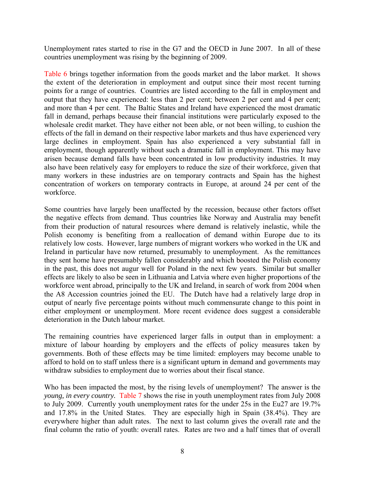Unemployment rates started to rise in the G7 and the OECD in June 2007. In all of these countries unemployment was rising by the beginning of 2009.

Table 6 brings together information from the goods market and the labor market. It shows the extent of the deterioration in employment and output since their most recent turning points for a range of countries. Countries are listed according to the fall in employment and output that they have experienced: less than 2 per cent; between 2 per cent and 4 per cent; and more than 4 per cent. The Baltic States and Ireland have experienced the most dramatic fall in demand, perhaps because their financial institutions were particularly exposed to the wholesale credit market. They have either not been able, or not been willing, to cushion the effects of the fall in demand on their respective labor markets and thus have experienced very large declines in employment. Spain has also experienced a very substantial fall in employment, though apparently without such a dramatic fall in employment. This may have arisen because demand falls have been concentrated in low productivity industries. It may also have been relatively easy for employers to reduce the size of their workforce, given that many workers in these industries are on temporary contracts and Spain has the highest concentration of workers on temporary contracts in Europe, at around 24 per cent of the workforce.

Some countries have largely been unaffected by the recession, because other factors offset the negative effects from demand. Thus countries like Norway and Australia may benefit from their production of natural resources where demand is relatively inelastic, while the Polish economy is benefiting from a reallocation of demand within Europe due to its relatively low costs. However, large numbers of migrant workers who worked in the UK and Ireland in particular have now returned, presumably to unemployment. As the remittances they sent home have presumably fallen considerably and which boosted the Polish economy in the past, this does not augur well for Poland in the next few years. Similar but smaller effects are likely to also be seen in Lithuania and Latvia where even higher proportions of the workforce went abroad, principally to the UK and Ireland, in search of work from 2004 when the A8 Accession countries joined the EU. The Dutch have had a relatively large drop in output of nearly five percentage points without much commensurate change to this point in either employment or unemployment. More recent evidence does suggest a considerable deterioration in the Dutch labour market.

The remaining countries have experienced larger falls in output than in employment: a mixture of labour hoarding by employers and the effects of policy measures taken by governments. Both of these effects may be time limited: employers may become unable to afford to hold on to staff unless there is a significant upturn in demand and governments may withdraw subsidies to employment due to worries about their fiscal stance.

Who has been impacted the most, by the rising levels of unemployment? The answer is the *young, in every country.* Table 7 shows the rise in youth unemployment rates from July 2008 to July 2009. Currently youth unemployment rates for the under 25s in the Eu27 are 19.7% and 17.8% in the United States. They are especially high in Spain (38.4%). They are everywhere higher than adult rates. The next to last column gives the overall rate and the final column the ratio of youth: overall rates. Rates are two and a half times that of overall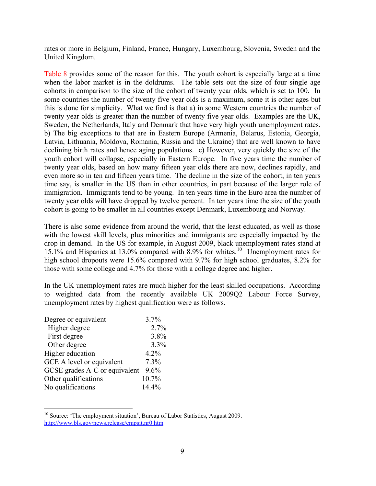rates or more in Belgium, Finland, France, Hungary, Luxembourg, Slovenia, Sweden and the United Kingdom.

Table 8 provides some of the reason for this. The youth cohort is especially large at a time when the labor market is in the doldrums. The table sets out the size of four single age cohorts in comparison to the size of the cohort of twenty year olds, which is set to 100. In some countries the number of twenty five year olds is a maximum, some it is other ages but this is done for simplicity. What we find is that a) in some Western countries the number of twenty year olds is greater than the number of twenty five year olds. Examples are the UK, Sweden, the Netherlands, Italy and Denmark that have very high youth unemployment rates. b) The big exceptions to that are in Eastern Europe (Armenia, Belarus, Estonia, Georgia, Latvia, Lithuania, Moldova, Romania, Russia and the Ukraine) that are well known to have declining birth rates and hence aging populations. c) However, very quickly the size of the youth cohort will collapse, especially in Eastern Europe. In five years time the number of twenty year olds, based on how many fifteen year olds there are now, declines rapidly, and even more so in ten and fifteen years time. The decline in the size of the cohort, in ten years time say, is smaller in the US than in other countries, in part because of the larger role of immigration. Immigrants tend to be young. In ten years time in the Euro area the number of twenty year olds will have dropped by twelve percent. In ten years time the size of the youth cohort is going to be smaller in all countries except Denmark, Luxembourg and Norway.

There is also some evidence from around the world, that the least educated, as well as those with the lowest skill levels, plus minorities and immigrants are especially impacted by the drop in demand. In the US for example, in August 2009, black unemployment rates stand at 15.1% and Hispanics at 13.0% compared with 8.9% for whites.[10](#page-11-0) Unemployment rates for high school dropouts were 15.6% compared with 9.7% for high school graduates, 8.2% for those with some college and 4.7% for those with a college degree and higher.

In the UK unemployment rates are much higher for the least skilled occupations. According to weighted data from the recently available UK 2009Q2 Labour Force Survey, unemployment rates by highest qualification were as follows.

| Degree or equivalent          | $3.7\%$ |
|-------------------------------|---------|
| Higher degree                 | 2.7%    |
| First degree                  | 3.8%    |
| Other degree                  | 3.3%    |
| Higher education              | 4.2%    |
| GCE A level or equivalent     | $7.3\%$ |
| GCSE grades A-C or equivalent | 9.6%    |
| Other qualifications          | 10.7%   |
| No qualifications             | 14.4%   |

 $\overline{a}$ 

<span id="page-11-0"></span><sup>&</sup>lt;sup>10</sup> Source: 'The employment situation', Bureau of Labor Statistics, August 2009. http://www.bls.gov/news.release/empsit.nr0.htm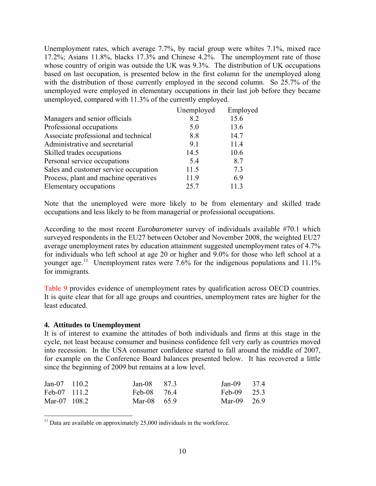Unemployment rates, which average 7.7%, by racial group were whites 7.1%, mixed race 17.2%; Asians 11.8%, blacks 17.3% and Chinese 4.2%. The unemployment rate of those whose country of origin was outside the UK was 9.3%. The distribution of UK occupations based on last occupation, is presented below in the first column for the unemployed along with the distribution of those currently employed in the second column. So 25.7% of the unemployed were employed in elementary occupations in their last job before they became unemployed, compared with 11.3% of the currently employed.

|                                       | Unemployed | Employed |
|---------------------------------------|------------|----------|
| Managers and senior officials         | 8.2        | 15.6     |
| Professional occupations              | 5.0        | 13.6     |
| Associate professional and technical  | 8.8        | 14.7     |
| Administrative and secretarial        | 9.1        | 11.4     |
| Skilled trades occupations            | 14.5       | 10.6     |
| Personal service occupations          | 5.4        | 8.7      |
| Sales and customer service occupation | 11.5       | 73       |
| Process, plant and machine operatives | 11.9       | 6.9      |
| Elementary occupations                | 25.7       | 113      |

Note that the unemployed were more likely to be from elementary and skilled trade occupations and less likely to be from managerial or professional occupations.

According to the most recent *Eurobarometer* survey of individuals available #70.1 which surveyed respondents in the EU27 between October and November 2008, the weighted EU27 average unemployment rates by education attainment suggested unemployment rates of 4.7% for individuals who left school at age 20 or higher and 9.0% for those who left school at a younger age.<sup>[11](#page-12-0)</sup> Unemployment rates were 7.6% for the indigenous populations and 11.1% for immigrants.

Table 9 provides evidence of unemployment rates by qualification across OECD countries. It is quite clear that for all age groups and countries, unemployment rates are higher for the least educated.

#### **4. Attitudes to Unemployment**

1

It is of interest to examine the attitudes of both individuals and firms at this stage in the cycle, not least because consumer and business confidence fell very early as countries moved into recession. In the USA consumer confidence started to fall around the middle of 2007, for example on the Conference Board balances presented below. It has recovered a little since the beginning of 2009 but remains at a low level.

| $Jan-07$ 110.2 | $Jan-08$ 87.3 | Jan-09 $37.4$ |  |
|----------------|---------------|---------------|--|
| Feb-07 111.2   | Feb-08 76.4   | Feb-09 $25.3$ |  |
| Mar-07 108.2   | Mar-08 $659$  | Mar-09 26.9   |  |

<span id="page-12-0"></span> $11$  Data are available on approximately 25,000 individuals in the workforce.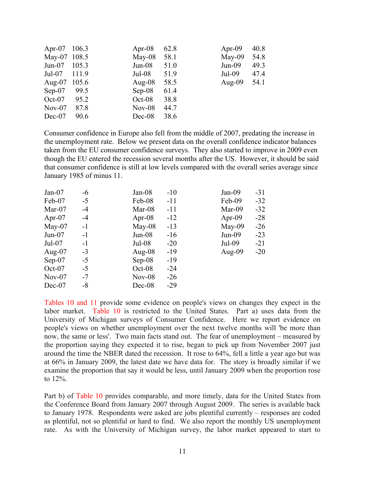| Apr-07 106.3 |       | Apr-08    | 62.8 | Apr-09    | 40.8 |
|--------------|-------|-----------|------|-----------|------|
| May-07 108.5 |       | $May-08$  | 58.1 | May-09    | 54.8 |
| $Jun-07$     | 105.3 | $Jun-08$  | 51.0 | $Jun-09$  | 49.3 |
| $Jul-07$     | 111.9 | $Jul-08$  | 51.9 | $Jul-09$  | 47.4 |
| Aug- $07$    | 105.6 | Aug- $08$ | 58.5 | Aug- $09$ | 54.1 |
| $Sep-07$     | 99.5  | $Sep-08$  | 61.4 |           |      |
| $Oct-07$     | 95.2  | $Oct-08$  | 38.8 |           |      |
| $Nov-07$     | 87.8  | $Nov-08$  | 44.7 |           |      |
| $Dec-07$     | 90.6  | $Dec-08$  | 38.6 |           |      |

Consumer confidence in Europe also fell from the middle of 2007, predating the increase in the unemployment rate. Below we present data on the overall confidence indicator balances taken from the EU consumer confidence surveys. They also started to improve in 2009 even though the EU entered the recession several months after the US. However, it should be said that consumer confidence is still at low levels compared with the overall series average since January 1985 of minus 11.

| $Jan-07$  | $-6$ | $Jan-08$  | $-10$ | $Jan-09$  | $-31$ |
|-----------|------|-----------|-------|-----------|-------|
| Feb-07    | $-5$ | Feb-08    | $-11$ | Feb-09    | $-32$ |
| Mar- $07$ | $-4$ | Mar-08    | $-11$ | Mar-09    | $-32$ |
| Apr-07    | $-4$ | Apr-08    | $-12$ | Apr-09    | $-28$ |
| $May-07$  | $-1$ | May-08    | $-13$ | May-09    | $-26$ |
| $Jun-07$  | $-1$ | $Jun-08$  | $-16$ | $Jun-09$  | $-23$ |
| $Jul-07$  | $-1$ | $Jul-08$  | $-20$ | $Jul-09$  | $-21$ |
| Aug- $07$ | $-3$ | Aug- $08$ | $-19$ | Aug- $09$ | $-20$ |
| $Sep-07$  | $-5$ | $Sep-08$  | $-19$ |           |       |
| $Oct-07$  | $-5$ | $Oct-08$  | $-24$ |           |       |
| $Nov-07$  | $-7$ | $Nov-08$  | $-26$ |           |       |
| $Dec-07$  | -8   | $Dec-08$  | $-29$ |           |       |

Tables 10 and 11 provide some evidence on people's views on changes they expect in the labor market. Table 10 is restricted to the United States. Part a) uses data from the University of Michigan surveys of Consumer Confidence. Here we report evidence on people's views on whether unemployment over the next twelve months will 'be more than now, the same or less'. Two main facts stand out. The fear of unemployment – measured by the proportion saying they expected it to rise, began to pick up from November 2007 just around the time the NBER dated the recession. It rose to 64%, fell a little a year ago but was at 66% in January 2009, the latest date we have data for. The story is broadly similar if we examine the proportion that say it would be less, until January 2009 when the proportion rose to 12%.

Part b) of Table 10 provides comparable, and more timely, data for the United States from the Conference Board from January 2007 through August 2009. The series is available back to January 1978. Respondents were asked are jobs plentiful currently – responses are coded as plentiful, not so plentiful or hard to find. We also report the monthly US unemployment rate. As with the University of Michigan survey, the labor market appeared to start to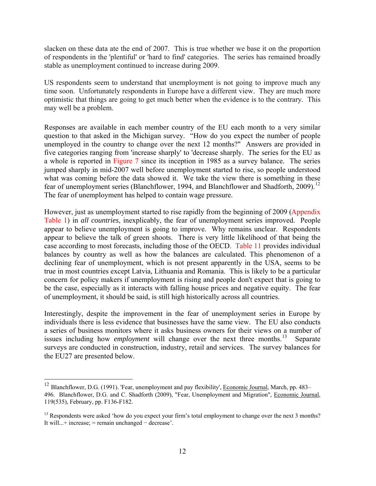slacken on these data ate the end of 2007. This is true whether we base it on the proportion of respondents in the 'plentiful' or 'hard to find' categories. The series has remained broadly stable as unemployment continued to increase during 2009.

US respondents seem to understand that unemployment is not going to improve much any time soon. Unfortunately respondents in Europe have a different view. They are much more optimistic that things are going to get much better when the evidence is to the contrary. This may well be a problem.

Responses are available in each member country of the EU each month to a very similar question to that asked in the Michigan survey. "How do you expect the number of people unemployed in the country to change over the next 12 months?" Answers are provided in five categories ranging from 'increase sharply' to 'decrease sharply. The series for the EU as a whole is reported in Figure 7 since its inception in 1985 as a survey balance. The series jumped sharply in mid-2007 well before unemployment started to rise, so people understood what was coming before the data showed it. We take the view there is something in these fear of unemployment series (Blanchflower, 1994, and Blanchflower and Shadforth, 2009).<sup>12</sup> The fear of unemployment has helped to contain wage pressure.

However, just as unemployment started to rise rapidly from the beginning of 2009 (Appendix Table 1) in *all countries*, inexplicably, the fear of unemployment series improved. People appear to believe unemployment is going to improve. Why remains unclear. Respondents appear to believe the talk of green shoots. There is very little likelihood of that being the case according to most forecasts, including those of the OECD. Table 11 provides individual balances by country as well as how the balances are calculated. This phenomenon of a declining fear of unemployment, which is not present apparently in the USA, seems to be true in most countries except Latvia, Lithuania and Romania. This is likely to be a particular concern for policy makers if unemployment is rising and people don't expect that is going to be the case, especially as it interacts with falling house prices and negative equity. The fear of unemployment, it should be said, is still high historically across all countries.

Interestingly, despite the improvement in the fear of unemployment series in Europe by individuals there is less evidence that businesses have the same view. The EU also conducts a series of business monitors where it asks business owners for their views on a number of issues including how *employment* will change over the next three months.<sup>[13](#page-14-1)</sup> Separate surveys are conducted in construction, industry, retail and services. The survey balances for the EU27 are presented below.

 $\overline{a}$ 

<span id="page-14-0"></span><sup>&</sup>lt;sup>12</sup> Blanchflower, D.G. (1991). 'Fear, unemployment and pay flexibility', Economic Journal, March, pp. 483– 496. Blanchflower, D.G. and C. Shadforth (2009), "Fear, Unemployment and Migration", Economic Journal, 119(535), February, pp. F136-F182.

<span id="page-14-1"></span><sup>&</sup>lt;sup>13</sup> Respondents were asked 'how do you expect your firm's total employment to change over the next 3 months? It will...+ increase; = remain unchanged − decrease'.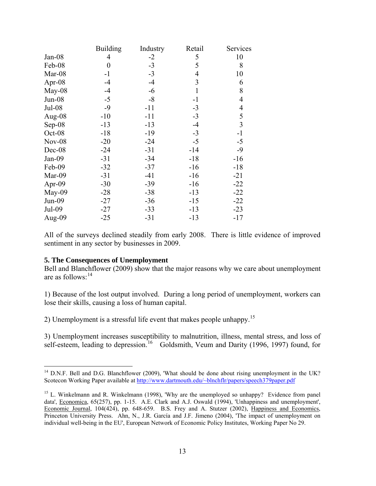|               | <b>Building</b> | Industry | Retail | Services       |
|---------------|-----------------|----------|--------|----------------|
| $Jan-08$      | 4               | $-2$     | 5      | 10             |
| Feb-08        | $\overline{0}$  | $-3$     | 5      | 8              |
| Mar-08        | $-1$            | $-3$     | 4      | 10             |
| Apr-08        | $-4$            | -4       | 3      | 6              |
| May-08        | $-4$            | -6       | 1      | 8              |
| $Jun-08$      | $-5$            | $-8$     | $-1$   | 4              |
| Jul-08        | $-9$            | $-11$    | $-3$   | 4              |
| Aug- $08$     | $-10$           | $-11$    | $-3$   | 5              |
| Sep-08        | $-13$           | $-13$    | $-4$   | $\overline{3}$ |
| Oct-08        | $-18$           | $-19$    | $-3$   | $-1$           |
| <b>Nov-08</b> | $-20$           | $-24$    | $-5$   | $-5$           |
| Dec-08        | $-24$           | $-31$    | $-14$  | $-9$           |
| Jan-09        | $-31$           | $-34$    | $-18$  | $-16$          |
| Feb-09        | $-32$           | $-37$    | $-16$  | $-18$          |
| Mar-09        | $-31$           | -41      | $-16$  | $-21$          |
| Apr-09        | $-30$           | $-39$    | $-16$  | $-22$          |
| May-09        | $-28$           | $-38$    | $-13$  | $-22$          |
| $Jun-09$      | $-27$           | $-36$    | $-15$  | $-22$          |
| Jul-09        | $-27$           | $-33$    | $-13$  | $-23$          |
| Aug-09        | $-25$           | $-31$    | -13    | $-17$          |

<span id="page-15-2"></span>All of the surveys declined steadily from early 2008. There is little evidence of improved sentiment in any sector by businesses in 2009.

#### **5. The Consequences of Unemployment**

 $\overline{a}$ 

Bell and Blanchflower (2009) show that the major reasons why we care about unemployment are as follows:  $14$ 

1) Because of the lost output involved. During a long period of unemployment, workers can lose their skills, causing a loss of human capital.

2) Unemployment is a stressful life event that makes people unhappy.<sup>[15](#page-15-1)</sup>

3) Unemployment increases susceptibility to malnutrition, illness, mental stress, and loss of self-esteem, leading to depression.<sup>[16](#page-15-2)</sup> Goldsmith, Veum and Darity (1996, 1997) found, for

<span id="page-15-0"></span> $14$  D.N.F. Bell and D.G. Blanchflower (2009), 'What should be done about rising unemployment in the UK? Scotecon Working Paper available at http://www.dartmouth.edu/~blnchflr/papers/speech379paper.pdf

<span id="page-15-1"></span><sup>&</sup>lt;sup>15</sup> L. Winkelmann and R. Winkelmann (1998), 'Why are the unemployed so unhappy? Evidence from panel data', Economica, 65(257), pp. 1-15. A.E. Clark and A.J. Oswald (1994), 'Unhappiness and unemployment', Economic Journal, 104(424), pp. 648-659. B.S. Frey and A. Stutzer (2002), Happiness and Economics, Princeton University Press. Ahn, N., J.R. García and J.F. Jimeno (2004), 'The impact of unemployment on individual well-being in the EU', European Network of Economic Policy Institutes, Working Paper No 29.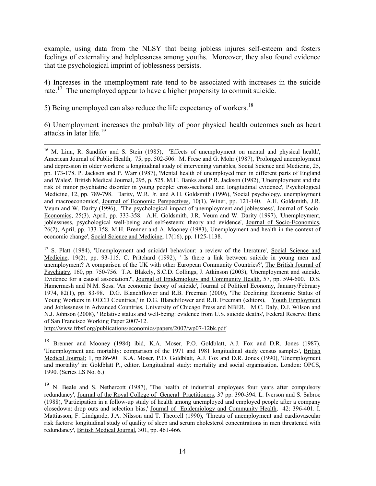example, using data from the NLSY that being jobless injures self-esteem and fosters feelings of externality and helplessness among youths. Moreover, they also found evidence that the psychological imprint of joblessness persists.

4) Increases in the unemployment rate tend to be associated with increases in the suicide rate.<sup>[17](#page-16-0)</sup> The unemployed appear to have a higher propensity to commit suicide.

5) Being unemployed can also reduce the life expectancy of workers.<sup>[18](#page-16-1)</sup>

6) Unemployment increases the probability of poor physical health outcomes such as heart attacks in later life.[19](#page-16-2)

<span id="page-16-0"></span><sup>17</sup> S. Platt (1984), 'Unemployment and suicidal behaviour: a review of the literature', Social Science and Medicine, 19(2), pp. 93-115. C. Pritchard (1992), ' Is there a link between suicide in young men and unemployment? A comparison of the UK with other European Community Countries?', The British Journal of Psychiatry, 160, pp. 750-756. T.A. Blakely, S.C.D. Collings, J. Atkinson (2003), 'Unemployment and suicide. Evidence for a causal association?', Journal of Epidemiology and Community Health, 57, pp. 594-600. D.S. Hamermesh and N.M. Soss. 'An economic theory of suicide', Journal of Political Economy, January/February 1974, 82(1), pp. 83-98. D.G. Blanchflower and R.B. Freeman (2000), 'The Declining Economic Status of Young Workers in OECD Countries,' in D.G. Blanchflower and R.B. Freeman (editors), Youth Employment and Joblessness in Advanced Countries, University of Chicago Press and NBER. M.C. Daly, D.J. Wilson and N.J. Johnson (2008), ' Relative status and well-being: evidence from U.S. suicide deaths', Federal Reserve Bank of San Francisco Working Paper 2007-12.

http://www.frbsf.org/publications/economics/papers/2007/wp07-12bk.pdf

<span id="page-16-1"></span><sup>18</sup> Brenner and Mooney (1984) ibid, K.A. Moser, P.O. Goldblatt, A.J. Fox and D.R. Jones (1987), 'Unemployment and mortality: comparison of the 1971 and 1981 longitudinal study census samples', British Medical Journal; 1, pp.86-90. K.A. Moser, P.O. Goldblatt, A.J. Fox and D.R. Jones (1990), 'Unemployment and mortality' in: Goldblatt P., editor. Longitudinal study: mortality and social organisation. London: OPCS, 1990. (Series LS No. 6.)

<span id="page-16-2"></span><sup>19</sup> N. Beale and S. Nethercott (1987), 'The health of industrial employees four years after compulsory redundancy', Journal of the Royal College of General Practitioners*,* 37 pp. 390-394. L. Iverson and S. Sabroe (1988), 'Participation in a follow-up study of health among unemployed and employed people after a company closedown: drop outs and selection bias,' Journal of Epidemiology and Community Health*,* 42: 396-401. I. Mattiasson, F. Lindgarde, J.A. Nilsson and T. Theorell (1990), 'Threats of unemployment and cardiovascular risk factors: longitudinal study of quality of sleep and serum cholesterol concentrations in men threatened with redundancy', British Medical Journal*,* 301, pp. 461-466.

<sup>&</sup>lt;sup>16</sup> M. Linn, R. Sandifer and S. Stein (1985), 'Effects of unemployment on mental and physical health', American Journal of Public Health*,* 75, pp. 502-506. M. Frese and G. Mohr (1987), 'Prolonged unemployment and depression in older workers: a longitudinal study of intervening variables, Social Science and Medicine*,* 25, pp. 173-178. P. Jackson and P. Warr (1987), 'Mental health of unemployed men in different parts of England and Wales', British Medical Journal*,* 295, p. 525. M.H. Banks and P.R. Jackson (1982), 'Unemployment and the risk of minor psychiatric disorder in young people: cross-sectional and longitudinal evidence', Psychological Medicine*,* 12, pp. 789-798. Darity, W.R. Jr. and A.H. Goldsmith (1996), 'Social psychology, unemployment and macroeconomics', Journal of Economic Perspectives, 10(1), Winer, pp. 121-140. A.H. Goldsmith, J.R. Veum and W. Darity (1996), 'The psychological impact of unemployment and joblessness', Journal of Socio-Economics, 25(3), April, pp. 333-358. A.H. Goldsmith, J.R. Veum and W. Darity (1997), 'Unemployment, joblessness, psychological well-being and self-esteem: theory and evidence', Journal of Socio-Economics, 26(2), April, pp. 133-158. M.H. Brenner and A. Mooney (1983), Unemployment and health in the context of economic change', Social Science and Medicine, 17(16), pp. 1125-1138.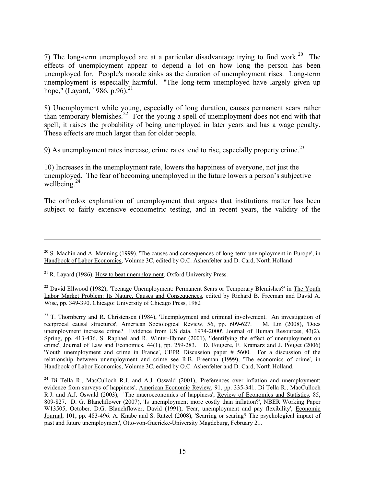7) The long-term unemployed are at a particular disadvantage trying to find work.<sup>[20](#page-17-0)</sup> The effects of unemployment appear to depend a lot on how long the person has been unemployed for. People's morale sinks as the duration of unemployment rises. Long-term unemployment is especially harmful. "The long-term unemployed have largely given up hope," (Layard, 1986, p.96).<sup>[21](#page-17-1)</sup>

8) Unemployment while young, especially of long duration, causes permanent scars rather than temporary blemishes.[22](#page-17-2) For the young a spell of unemployment does not end with that spell; it raises the probability of being unemployed in later years and has a wage penalty. These effects are much larger than for older people.

9) As unemployment rates increase, crime rates tend to rise, especially property crime.[23](#page-17-3)

10) Increases in the unemployment rate, lowers the happiness of everyone, not just the unemployed. The fear of becoming unemployed in the future lowers a person's subjective wellbeing. $24$ 

The orthodox explanation of unemployment that argues that institutions matter has been subject to fairly extensive econometric testing, and in recent years, the validity of the

<u>.</u>

<span id="page-17-0"></span> $20$  S. Machin and A. Manning (1999), 'The causes and consequences of long-term unemployment in Europe', in Handbook of Labor Economics, Volume 3C, edited by O.C. Ashenfelter and D. Card, North Holland

<span id="page-17-1"></span> $^{21}$  R. Lavard (1986), How to beat unemployment, Oxford University Press.

<span id="page-17-2"></span><sup>&</sup>lt;sup>22</sup> David Ellwood (1982), 'Teenage Unemployment: Permanent Scars or Temporary Blemishes?' in The Youth Labor Market Problem: Its Nature, Causes and Consequences, edited by Richard B. Freeman and David A. Wise, pp. 349-390. Chicago: University of Chicago Press, 1982

<span id="page-17-3"></span> $23$  T. Thornberry and R. Christensen (1984), 'Unemployment and criminal involvement. An investigation of reciprocal causal structures', American Sociological Review, 56, pp. 609-627. M. Lin (2008), 'Does unemployment increase crime? Evidence from US data, 1974-2000', Journal of Human Resources, 43(2), Spring, pp. 413-436. S. Raphael and R. Winter-Ebmer (2001), 'Identifying the effect of unemployment on crime', Journal of Law and Economics, 44(1), pp. 259-283. D. Fougere, F. Kramarz and J. Pouget (2006) 'Youth unemployment and crime in France', CEPR Discussion paper # 5600. For a discussion of the relationship between unemployment and crime see R.B. Freeman (1999), 'The economics of crime', in Handbook of Labor Economics, Volume 3C, edited by O.C. Ashenfelter and D. Card, North Holland.

<span id="page-17-4"></span> $24$  Di Tella R., MacCulloch R.J. and A.J. Oswald (2001), 'Preferences over inflation and unemployment: evidence from surveys of happiness', American Economic Review, 91, pp. 335-341. Di Tella R., MacCulloch R.J. and A.J. Oswald (2003), 'The macroeconomics of happiness', Review of Economics and Statistics, 85, 809-827. D. G. Blanchflower (2007), 'Is unemployment more costly than inflation?', NBER Working Paper W13505, October. D.G. Blanchflower, David (1991), 'Fear, unemployment and pay flexibility', Economic Journal, 101, pp. 483-496. A. Knabe and S. Rätzel (2008), 'Scarring or scaring? The psychological impact of past and future unemployment', Otto-von-Guericke-University Magdeburg, February 21.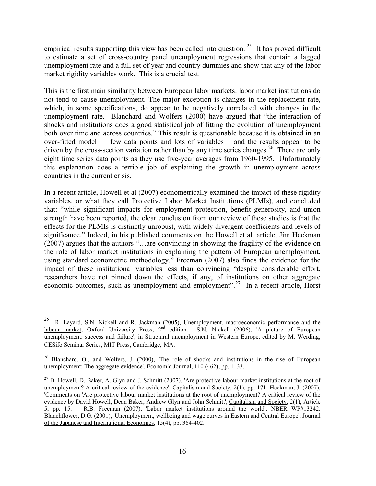empirical results supporting this view has been called into question.<sup>[25](#page-18-0)</sup> It has proved difficult to estimate a set of cross-country panel unemployment regressions that contain a lagged unemployment rate and a full set of year and country dummies and show that any of the labor market rigidity variables work. This is a crucial test.

This is the first main similarity between European labor markets: labor market institutions do not tend to cause unemployment. The major exception is changes in the replacement rate, which, in some specifications, do appear to be negatively correlated with changes in the unemployment rate. Blanchard and Wolfers (2000) have argued that "the interaction of shocks and institutions does a good statistical job of fitting the evolution of unemployment both over time and across countries." This result is questionable because it is obtained in an over-fitted model — few data points and lots of variables —and the results appear to be driven by the cross-section variation rather than by any time series changes.<sup>[26](#page-18-1)</sup> There are only eight time series data points as they use five-year averages from 1960-1995. Unfortunately this explanation does a terrible job of explaining the growth in unemployment across countries in the current crisis.

In a recent article, Howell et al (2007) econometrically examined the impact of these rigidity variables, or what they call Protective Labor Market Institutions (PLMIs), and concluded that: "while significant impacts for employment protection, benefit generosity, and union strength have been reported, the clear conclusion from our review of these studies is that the effects for the PLMIs is distinctly unrobust, with widely divergent coefficients and levels of significance." Indeed, in his published comments on the Howell et al. article, Jim Heckman (2007) argues that the authors "…are convincing in showing the fragility of the evidence on the role of labor market institutions in explaining the pattern of European unemployment, using standard econometric methodology." Freeman (2007) also finds the evidence for the impact of these institutional variables less than convincing "despite considerable effort, researchers have not pinned down the effects, if any, of institutions on other aggregate economic outcomes, such as unemployment and employment".<sup>[27](#page-18-2)</sup> In a recent article, Horst

<span id="page-18-0"></span> $25\,$ 25 R. Layard, S.N. Nickell and R. Jackman (2005), Unemployment, macroeconomic performance and the labour market, Oxford University Press, 2<sup>nd</sup> edition. S.N. Nickell (2006), 'A picture of European unemployment: success and failure', in Structural unemployment in Western Europe, edited by M. Werding, CESifo Seminar Series, MIT Press, Cambridge, MA.

<span id="page-18-1"></span><sup>&</sup>lt;sup>26</sup> Blanchard, O., and Wolfers, J. (2000), 'The role of shocks and institutions in the rise of European unemployment: The aggregate evidence', Economic Journal, 110 (462), pp. 1–33.

<span id="page-18-2"></span> $^{27}$  D. Howell, D. Baker, A. Glyn and J. Schmitt (2007), 'Are protective labour market institutions at the root of unemployment? A critical review of the evidence', Capitalism and Society, 2(1), pp. 171. Heckman, J. (2007), 'Comments on 'Are protective labour market institutions at the root of unemployment? A critical review of the evidence by David Howell, Dean Baker, Andrew Glyn and John Schmitt', Capitalism and Society, 2(1), Article 5, pp. 15. R.B. Freeman (2007), 'Labor market institutions around the world', NBER WP#13242. Blanchflower, D.G. (2001), 'Unemployment, wellbeing and wage curves in Eastern and Central Europe', Journal of the Japanese and International Economies, 15(4), pp. 364-402.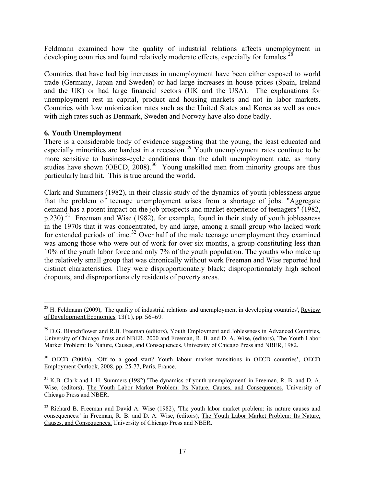Feldmann examined how the quality of industrial relations affects unemployment in developing countries and found relatively moderate effects, especially for females.<sup>[28](#page-19-0)</sup>

Countries that have had big increases in unemployment have been either exposed to world trade (Germany, Japan and Sweden) or had large increases in house prices (Spain, Ireland and the UK) or had large financial sectors (UK and the USA). The explanations for unemployment rest in capital, product and housing markets and not in labor markets. Countries with low unionization rates such as the United States and Korea as well as ones with high rates such as Denmark, Sweden and Norway have also done badly.

#### **6. Youth Unemployment**

 $\overline{a}$ 

There is a considerable body of evidence suggesting that the young, the least educated and especially minorities are hardest in a recession.<sup>[29](#page-19-1)</sup> Youth unemployment rates continue to be more sensitive to business-cycle conditions than the adult unemployment rate, as many studies have shown (OECD,  $2008$ )<sup>[30](#page-19-2)</sup> Young unskilled men from minority groups are thus particularly hard hit. This is true around the world.

Clark and Summers (1982), in their classic study of the dynamics of youth joblessness argue that the problem of teenage unemployment arises from a shortage of jobs. "Aggregate demand has a potent impact on the job prospects and market experience of teenagers" (1982,  $p.230$ ).<sup>[31](#page-19-3)</sup> Freeman and Wise (1982), for example, found in their study of youth joblessness in the 1970s that it was concentrated, by and large, among a small group who lacked work for extended periods of time.<sup>[32](#page-19-4)</sup> Over half of the male teenage unemployment they examined was among those who were out of work for over six months, a group constituting less than 10% of the youth labor force and only 7% of the youth population. The youths who make up the relatively small group that was chronically without work Freeman and Wise reported had distinct characteristics. They were disproportionately black; disproportionately high school dropouts, and disproportionately residents of poverty areas.

<span id="page-19-0"></span> $^{28}$  H. Feldmann (2009), 'The quality of industrial relations and unemployment in developing countries', Review of Development Economics, 13(1), pp. 56–69.

<span id="page-19-1"></span><sup>&</sup>lt;sup>29</sup> D.G. Blanchflower and R.B. Freeman (editors), Youth Employment and Joblessness in Advanced Countries, University of Chicago Press and NBER, 2000 and Freeman, R. B. and D. A. Wise, (editors), The Youth Labor Market Problem: Its Nature, Causes, and Consequences, University of Chicago Press and NBER, 1982.

<span id="page-19-2"></span><sup>&</sup>lt;sup>30</sup> OECD (2008a), 'Off to a good start? Youth labour market transitions in OECD countries', OECD Employment Outlook, 2008, pp. 25-77, Paris, France.

<span id="page-19-3"></span><sup>&</sup>lt;sup>31</sup> K.B. Clark and L.H. Summers (1982) 'The dynamics of youth unemployment' in Freeman, R. B. and D. A. Wise, (editors), The Youth Labor Market Problem: Its Nature, Causes, and Consequences, University of Chicago Press and NBER.

<span id="page-19-4"></span><sup>&</sup>lt;sup>32</sup> Richard B. Freeman and David A. Wise (1982), 'The youth labor market problem: its nature causes and consequences:' in Freeman, R. B. and D. A. Wise, (editors), The Youth Labor Market Problem: Its Nature, Causes, and Consequences, University of Chicago Press and NBER.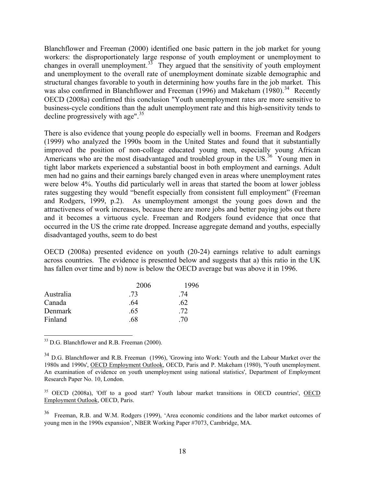Blanchflower and Freeman (2000) identified one basic pattern in the job market for young workers: the disproportionately large response of youth employment or unemployment to changes in overall unemployment.<sup>[33](#page-20-0)</sup> They argued that the sensitivity of youth employment and unemployment to the overall rate of unemployment dominate sizable demographic and structural changes favorable to youth in determining how youths fare in the job market. This was also confirmed in Blanchflower and Freeman (1996) and Makeham (1980).<sup>[34](#page-20-1)</sup> Recently OECD (2008a) confirmed this conclusion "Youth unemployment rates are more sensitive to business-cycle conditions than the adult unemployment rate and this high-sensitivity tends to decline progressively with age". $35$ 

There is also evidence that young people do especially well in booms. Freeman and Rodgers (1999) who analyzed the 1990s boom in the United States and found that it substantially improved the position of non-college educated young men, especially young African Americans who are the most disadvantaged and troubled group in the US.<sup>[36](#page-20-3)</sup> Young men in tight labor markets experienced a substantial boost in both employment and earnings. Adult men had no gains and their earnings barely changed even in areas where unemployment rates were below 4%. Youths did particularly well in areas that started the boom at lower jobless rates suggesting they would "benefit especially from consistent full employment" (Freeman and Rodgers, 1999, p.2). As unemployment amongst the young goes down and the attractiveness of work increases, because there are more jobs and better paying jobs out there and it becomes a virtuous cycle. Freeman and Rodgers found evidence that once that occurred in the US the crime rate dropped. Increase aggregate demand and youths, especially disadvantaged youths, seem to do best

OECD (2008a) presented evidence on youth (20-24) earnings relative to adult earnings across countries. The evidence is presented below and suggests that a) this ratio in the UK has fallen over time and b) now is below the OECD average but was above it in 1996.

|           | 2006 | 1996 |  |
|-----------|------|------|--|
| Australia | -73  | 74   |  |
| Canada    | .64  | .62  |  |
| Denmark   | .65  | .72  |  |
| Finland   | .68  | 70   |  |

<span id="page-20-0"></span><sup>33</sup> D.G. Blanchflower and R.B. Freeman (2000).

 $\overline{a}$ 

<span id="page-20-2"></span><sup>35</sup> OECD (2008a), 'Off to a good start? Youth labour market transitions in OECD countries', OECD Employment Outlook, OECD, Paris.

<span id="page-20-1"></span><sup>&</sup>lt;sup>34</sup> D.G. Blanchflower and R.B. Freeman (1996), 'Growing into Work: Youth and the Labour Market over the 1980s and 1990s', OECD Employment Outlook, OECD, Paris and P. Makeham (1980), 'Youth unemployment. An examination of evidence on youth unemployment using national statistics', Department of Employment Research Paper No. 10, London.

<span id="page-20-3"></span><sup>36</sup> Freeman, R.B. and W.M. Rodgers (1999), 'Area economic conditions and the labor market outcomes of young men in the 1990s expansion', NBER Working Paper #7073, Cambridge, MA.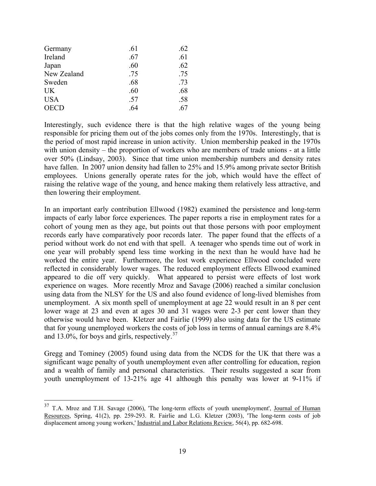| Germany     | .61 | .62 |
|-------------|-----|-----|
| Ireland     | .67 | .61 |
| Japan       | .60 | .62 |
| New Zealand | .75 | .75 |
| Sweden      | .68 | .73 |
| <b>UK</b>   | .60 | .68 |
| <b>USA</b>  | .57 | .58 |
| <b>OECD</b> | .64 | .67 |

 $\overline{a}$ 

Interestingly, such evidence there is that the high relative wages of the young being responsible for pricing them out of the jobs comes only from the 1970s. Interestingly, that is the period of most rapid increase in union activity. Union membership peaked in the 1970s with union density – the proportion of workers who are members of trade unions - at a little over 50% (Lindsay, 2003). Since that time union membership numbers and density rates have fallen. In 2007 union density had fallen to 25% and 15.9% among private sector British employees. Unions generally operate rates for the job, which would have the effect of raising the relative wage of the young, and hence making them relatively less attractive, and then lowering their employment.

In an important early contribution Ellwood (1982) examined the persistence and long-term impacts of early labor force experiences. The paper reports a rise in employment rates for a cohort of young men as they age, but points out that those persons with poor employment records early have comparatively poor records later. The paper found that the effects of a period without work do not end with that spell. A teenager who spends time out of work in one year will probably spend less time working in the next than he would have had he worked the entire year. Furthermore, the lost work experience Ellwood concluded were reflected in considerably lower wages. The reduced employment effects Ellwood examined appeared to die off very quickly. What appeared to persist were effects of lost work experience on wages. More recently Mroz and Savage (2006) reached a similar conclusion using data from the NLSY for the US and also found evidence of long-lived blemishes from unemployment. A six month spell of unemployment at age 22 would result in an 8 per cent lower wage at 23 and even at ages 30 and 31 wages were 2-3 per cent lower than they otherwise would have been. Kletzer and Fairlie (1999) also using data for the US estimate that for young unemployed workers the costs of job loss in terms of annual earnings are 8.4% and 13.0%, for boys and girls, respectively. $37$ 

Gregg and Tominey (2005) found using data from the NCDS for the UK that there was a significant wage penalty of youth unemployment even after controlling for education, region and a wealth of family and personal characteristics. Their results suggested a scar from youth unemployment of 13-21% age 41 although this penalty was lower at 9-11% if

<span id="page-21-0"></span><sup>&</sup>lt;sup>37</sup> T.A. Mroz and T.H. Savage (2006), 'The long-term effects of youth unemployment', Journal of Human Resources, Spring, 41(2), pp. 259-293. R. Fairlie and L.G. Kletzer (2003), 'The long-term costs of job displacement among young workers,' Industrial and Labor Relations Review, 56(4), pp. 682-698.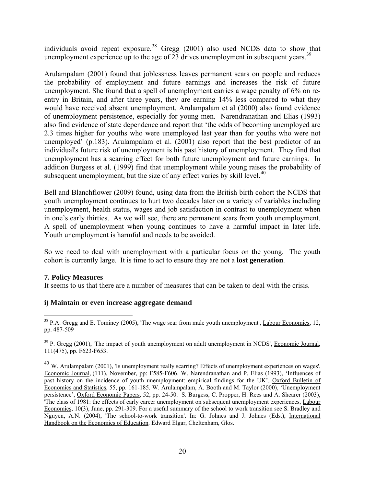individuals avoid repeat exposure.<sup>[38](#page-22-0)</sup> Gregg (2001) also used NCDS data to show that unemployment experience up to the age of 23 drives unemployment in subsequent years.<sup>[39](#page-22-1)</sup>

Arulampalam (2001) found that joblessness leaves permanent scars on people and reduces the probability of employment and future earnings and increases the risk of future unemployment. She found that a spell of unemployment carries a wage penalty of 6% on reentry in Britain, and after three years, they are earning 14% less compared to what they would have received absent unemployment. Arulampalam et al (2000) also found evidence of unemployment persistence, especially for young men. Narendranathan and Elias (1993) also find evidence of state dependence and report that 'the odds of becoming unemployed are 2.3 times higher for youths who were unemployed last year than for youths who were not unemployed' (p.183). Arulampalam et al. (2001) also report that the best predictor of an individual's future risk of unemployment is his past history of unemployment. They find that unemployment has a scarring effect for both future unemployment and future earnings. In addition Burgess et al. (1999) find that unemployment while young raises the probability of subsequent unemployment, but the size of any effect varies by skill level. $40$ 

Bell and Blanchflower (2009) found, using data from the British birth cohort the NCDS that youth unemployment continues to hurt two decades later on a variety of variables including unemployment, health status, wages and job satisfaction in contrast to unemployment when in one's early thirties. As we will see, there are permanent scars from youth unemployment. A spell of unemployment when young continues to have a harmful impact in later life. Youth unemployment is harmful and needs to be avoided.

So we need to deal with unemployment with a particular focus on the young. The youth cohort is currently large. It is time to act to ensure they are not a **lost generation**.

#### **7. Policy Measures**

It seems to us that there are a number of measures that can be taken to deal with the crisis.

#### **i) Maintain or even increase aggregate demand**

<span id="page-22-0"></span><sup>1</sup>  $38$  P.A. Gregg and E. Tominey (2005), 'The wage scar from male youth unemployment', Labour Economics, 12, pp. 487-509

<span id="page-22-1"></span> $39$  P. Gregg (2001), 'The impact of youth unemployment on adult unemployment in NCDS', Economic Journal, 111(475), pp. F623-F653.

<span id="page-22-2"></span> $^{40}$  W. Arulampalam (2001), 'Is unemployment really scarring? Effects of unemployment experiences on wages', Economic Journal*,* (111), November, pp: F585-F606. W. Narendranathan and P. Elias (1993), 'Influences of past history on the incidence of youth unemployment: empirical findings for the UK', Oxford Bulletin of Economics and Statistics, 55, pp. 161-185. W. Arulampalam, A. Booth and M. Taylor (2000), 'Unemployment persistence', Oxford Economic Papers, 52, pp. 24-50. S. Burgess, C. Propper, H. Rees and A. Shearer (2003), 'The class of 1981: the effects of early career unemployment on subsequent unemployment experiences, Labour Economics, 10(3), June, pp. 291-309. For a useful summary of the school to work transition see S. Bradley and Nguyen, A.N. (2004), 'The school-to-work transition'. In: G. Johnes and J. Johnes (Eds.), International Handbook on the Economics of Education. Edward Elgar, Cheltenham, Glos.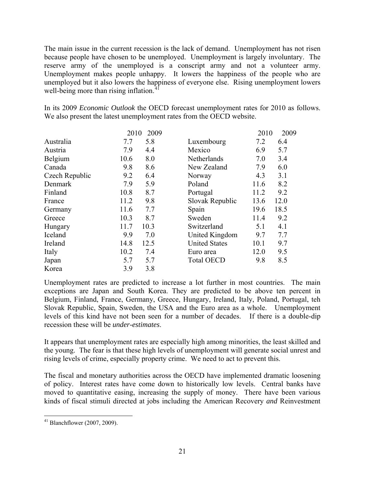The main issue in the current recession is the lack of demand. Unemployment has not risen because people have chosen to be unemployed. Unemployment is largely involuntary. The reserve army of the unemployed is a conscript army and not a volunteer army. Unemployment makes people unhappy. It lowers the happiness of the people who are unemployed but it also lowers the happiness of everyone else. Rising unemployment lowers well-being more than rising inflation.<sup>4</sup>

In its 2009 *Economic Outlook* the OECD forecast unemployment rates for 2010 as follows. We also present the latest unemployment rates from the OECD website.

|                | 2010 | 2009 |                      | 2010 | 2009 |
|----------------|------|------|----------------------|------|------|
| Australia      | 7.7  | 5.8  | Luxembourg           | 7.2  | 6.4  |
| Austria        | 7.9  | 4.4  | Mexico               | 6.9  | 5.7  |
| Belgium        | 10.6 | 8.0  | Netherlands          | 7.0  | 3.4  |
| Canada         | 9.8  | 8.6  | New Zealand          | 7.9  | 6.0  |
| Czech Republic | 9.2  | 6.4  | Norway               | 4.3  | 3.1  |
| Denmark        | 7.9  | 5.9  | Poland               | 11.6 | 8.2  |
| Finland        | 10.8 | 8.7  | Portugal             | 11.2 | 9.2  |
| France         | 11.2 | 9.8  | Slovak Republic      | 13.6 | 12.0 |
| Germany        | 11.6 | 7.7  | Spain                | 19.6 | 18.5 |
| Greece         | 10.3 | 8.7  | Sweden               | 11.4 | 9.2  |
| Hungary        | 11.7 | 10.3 | Switzerland          | 5.1  | 4.1  |
| Iceland        | 9.9  | 7.0  | United Kingdom       | 9.7  | 7.7  |
| Ireland        | 14.8 | 12.5 | <b>United States</b> | 10.1 | 9.7  |
| Italy          | 10.2 | 7.4  | Euro area            | 12.0 | 9.5  |
| Japan          | 5.7  | 5.7  | <b>Total OECD</b>    | 9.8  | 8.5  |
| Korea          | 3.9  | 3.8  |                      |      |      |

Unemployment rates are predicted to increase a lot further in most countries. The main exceptions are Japan and South Korea. They are predicted to be above ten percent in Belgium, Finland, France, Germany, Greece, Hungary, Ireland, Italy, Poland, Portugal, teh Slovak Republic, Spain, Sweden, the USA and the Euro area as a whole. Unemployment levels of this kind have not been seen for a number of decades. If there is a double-dip recession these will be *under-estimates*.

It appears that unemployment rates are especially high among minorities, the least skilled and the young. The fear is that these high levels of unemployment will generate social unrest and rising levels of crime, especially property crime. We need to act to prevent this.

The fiscal and monetary authorities across the OECD have implemented dramatic loosening of policy. Interest rates have come down to historically low levels. Central banks have moved to quantitative easing, increasing the supply of money. There have been various kinds of fiscal stimuli directed at jobs including the American Recovery *and* Reinvestment

<span id="page-23-0"></span> $\overline{a}$  $41$  Blanchflower (2007, 2009).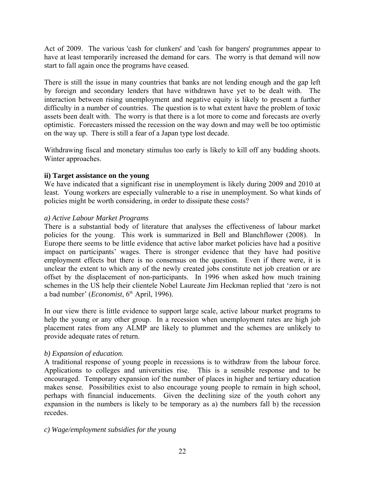Act of 2009. The various 'cash for clunkers' and 'cash for bangers' programmes appear to have at least temporarily increased the demand for cars. The worry is that demand will now start to fall again once the programs have ceased.

There is still the issue in many countries that banks are not lending enough and the gap left by foreign and secondary lenders that have withdrawn have yet to be dealt with. The interaction between rising unemployment and negative equity is likely to present a further difficulty in a number of countries. The question is to what extent have the problem of toxic assets been dealt with. The worry is that there is a lot more to come and forecasts are overly optimistic. Forecasters missed the recession on the way down and may well be too optimistic on the way up. There is still a fear of a Japan type lost decade.

Withdrawing fiscal and monetary stimulus too early is likely to kill off any budding shoots. Winter approaches.

#### **ii) Target assistance on the young**

We have indicated that a significant rise in unemployment is likely during 2009 and 2010 at least. Young workers are especially vulnerable to a rise in unemployment. So what kinds of policies might be worth considering, in order to dissipate these costs?

#### *a) Active Labour Market Programs*

There is a substantial body of literature that analyses the effectiveness of labour market policies for the young. This work is summarized in Bell and Blanchflower (2008). In Europe there seems to be little evidence that active labor market policies have had a positive impact on participants' wages. There is stronger evidence that they have had positive employment effects but there is no consensus on the question. Even if there were, it is unclear the extent to which any of the newly created jobs constitute net job creation or are offset by the displacement of non-participants. In 1996 when asked how much training schemes in the US help their clientele Nobel Laureate Jim Heckman replied that 'zero is not a bad number' (*Economist*, 6<sup>th</sup> April, 1996).

In our view there is little evidence to support large scale, active labour market programs to help the young or any other group. In a recession when unemployment rates are high job placement rates from any ALMP are likely to plummet and the schemes are unlikely to provide adequate rates of return.

### *b) Expansion of education.*

A traditional response of young people in recessions is to withdraw from the labour force. Applications to colleges and universities rise. This is a sensible response and to be encouraged. Temporary expansion iof the number of places in higher and tertiary education makes sense. Possibilities exist to also encourage young people to remain in high school, perhaps with financial inducements. Given the declining size of the youth cohort any expansion in the numbers is likely to be temporary as a) the numbers fall b) the recession recedes.

#### *c) Wage/employment subsidies for the young*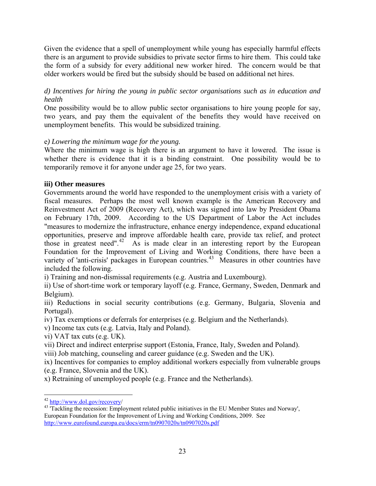Given the evidence that a spell of unemployment while young has especially harmful effects there is an argument to provide subsidies to private sector firms to hire them. This could take the form of a subsidy for every additional new worker hired. The concern would be that older workers would be fired but the subsidy should be based on additional net hires.

### *d) Incentives for hiring the young in public sector organisations such as in education and health*

One possibility would be to allow public sector organisations to hire young people for say, two years, and pay them the equivalent of the benefits they would have received on unemployment benefits. This would be subsidized training.

### e*) Lowering the minimum wage for the young.*

Where the minimum wage is high there is an argument to have it lowered. The issue is whether there is evidence that it is a binding constraint. One possibility would be to temporarily remove it for anyone under age 25, for two years.

#### **iii) Other measures**

Governments around the world have responded to the unemployment crisis with a variety of fiscal measures. Perhaps the most well known example is the American Recovery and Reinvestment Act of 2009 (Recovery Act), which was signed into law by President Obama on February 17th, 2009. According to the US Department of Labor the Act includes "measures to modernize the infrastructure, enhance energy independence, expand educational opportunities, preserve and improve affordable health care, provide tax relief, and protect those in greatest need".<sup>[42](#page-25-0)</sup> As is made clear in an interesting report by the European Foundation for the Improvement of Living and Working Conditions, there have been a variety of 'anti-crisis' packages in European countries.<sup>[43](#page-25-1)</sup> Measures in other countries have included the following.

i) Training and non-dismissal requirements (e.g. Austria and Luxembourg).

ii) Use of short-time work or temporary layoff (e.g. France, Germany, Sweden, Denmark and Belgium).

iii) Reductions in social security contributions (e.g. Germany, Bulgaria, Slovenia and Portugal).

iv) Tax exemptions or deferrals for enterprises (e.g. Belgium and the Netherlands).

v) Income tax cuts (e.g. Latvia, Italy and Poland).

vi) VAT tax cuts (e.g. UK).

vii) Direct and indirect enterprise support (Estonia, France, Italy, Sweden and Poland).

viii) Job matching, counseling and career guidance (e.g. Sweden and the UK).

ix) Incentives for companies to employ additional workers especially from vulnerable groups (e.g. France, Slovenia and the UK).

x) Retraining of unemployed people (e.g. France and the Netherlands).

 $\overline{a}$ 

<span id="page-25-1"></span><span id="page-25-0"></span> $^{42}$  http://www.dol.gov/recovery/<br> $^{43}$  'Tackling the recession: Employment related public initiatives in the EU Member States and Norway', European Foundation for the Improvement of Living and Working Conditions, 2009. See http://www.eurofound.europa.eu/docs/erm/tn0907020s/tn0907020s.pdf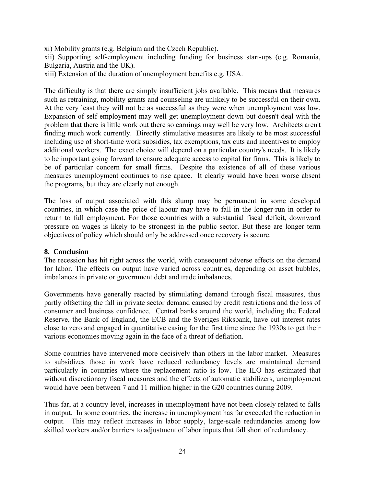xi) Mobility grants (e.g. Belgium and the Czech Republic).

xii) Supporting self-employment including funding for business start-ups (e.g. Romania, Bulgaria, Austria and the UK).

xiii) Extension of the duration of unemployment benefits e.g. USA.

The difficulty is that there are simply insufficient jobs available. This means that measures such as retraining, mobility grants and counseling are unlikely to be successful on their own. At the very least they will not be as successful as they were when unemployment was low. Expansion of self-employment may well get unemployment down but doesn't deal with the problem that there is little work out there so earnings may well be very low. Architects aren't finding much work currently. Directly stimulative measures are likely to be most successful including use of short-time work subsidies, tax exemptions, tax cuts and incentives to employ additional workers. The exact choice will depend on a particular country's needs. It is likely to be important going forward to ensure adequate access to capital for firms. This is likely to be of particular concern for small firms. Despite the existence of all of these various measures unemployment continues to rise apace. It clearly would have been worse absent the programs, but they are clearly not enough.

The loss of output associated with this slump may be permanent in some developed countries, in which case the price of labour may have to fall in the longer-run in order to return to full employment. For those countries with a substantial fiscal deficit, downward pressure on wages is likely to be strongest in the public sector. But these are longer term objectives of policy which should only be addressed once recovery is secure.

#### **8. Conclusion**

The recession has hit right across the world, with consequent adverse effects on the demand for labor. The effects on output have varied across countries, depending on asset bubbles, imbalances in private or government debt and trade imbalances.

Governments have generally reacted by stimulating demand through fiscal measures, thus partly offsetting the fall in private sector demand caused by credit restrictions and the loss of consumer and business confidence. Central banks around the world, including the Federal Reserve, the Bank of England, the ECB and the Sveriges Riksbank, have cut interest rates close to zero and engaged in quantitative easing for the first time since the 1930s to get their various economies moving again in the face of a threat of deflation.

Some countries have intervened more decisively than others in the labor market. Measures to subsidizes those in work have reduced redundancy levels are maintained demand particularly in countries where the replacement ratio is low. The ILO has estimated that without discretionary fiscal measures and the effects of automatic stabilizers, unemployment would have been between 7 and 11 million higher in the G20 countries during 2009.

Thus far, at a country level, increases in unemployment have not been closely related to falls in output. In some countries, the increase in unemployment has far exceeded the reduction in output. This may reflect increases in labor supply, large-scale redundancies among low skilled workers and/or barriers to adjustment of labor inputs that fall short of redundancy.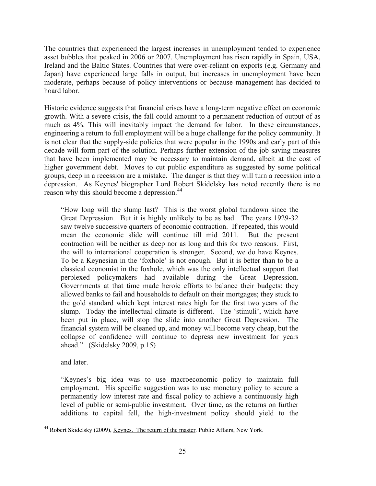The countries that experienced the largest increases in unemployment tended to experience asset bubbles that peaked in 2006 or 2007. Unemployment has risen rapidly in Spain, USA, Ireland and the Baltic States. Countries that were over-reliant on exports (e.g. Germany and Japan) have experienced large falls in output, but increases in unemployment have been moderate, perhaps because of policy interventions or because management has decided to hoard labor.

Historic evidence suggests that financial crises have a long-term negative effect on economic growth. With a severe crisis, the fall could amount to a permanent reduction of output of as much as 4%. This will inevitably impact the demand for labor. In these circumstances, engineering a return to full employment will be a huge challenge for the policy community. It is not clear that the supply-side policies that were popular in the 1990s and early part of this decade will form part of the solution. Perhaps further extension of the job saving measures that have been implemented may be necessary to maintain demand, albeit at the cost of higher government debt. Moves to cut public expenditure as suggested by some political groups, deep in a recession are a mistake. The danger is that they will turn a recession into a depression. As Keynes' biographer Lord Robert Skidelsky has noted recently there is no reason why this should become a depression.<sup>[44](#page-27-0)</sup>

"How long will the slump last? This is the worst global turndown since the Great Depression. But it is highly unlikely to be as bad. The years 1929-32 saw twelve successive quarters of economic contraction. If repeated, this would mean the economic slide will continue till mid 2011. But the present contraction will be neither as deep nor as long and this for two reasons. First, the will to international cooperation is stronger. Second, we do have Keynes. To be a Keynesian in the 'foxhole' is not enough. But it is better than to be a classical economist in the foxhole, which was the only intellectual support that perplexed policymakers had available during the Great Depression. Governments at that time made heroic efforts to balance their budgets: they allowed banks to fail and households to default on their mortgages; they stuck to the gold standard which kept interest rates high for the first two years of the slump. Today the intellectual climate is different. The 'stimuli', which have been put in place, will stop the slide into another Great Depression. The financial system will be cleaned up, and money will become very cheap, but the collapse of confidence will continue to depress new investment for years ahead." (Skidelsky 2009, p.15)

and later.

"Keynes's big idea was to use macroeconomic policy to maintain full employment. His specific suggestion was to use monetary policy to secure a permanently low interest rate and fiscal policy to achieve a continuously high level of public or semi-public investment. Over time, as the returns on further additions to capital fell, the high-investment policy should yield to the

<span id="page-27-0"></span> $\overline{a}$ <sup>44</sup> Robert Skidelsky (2009), <u>Keynes. The return of the master</u>. Public Affairs, New York.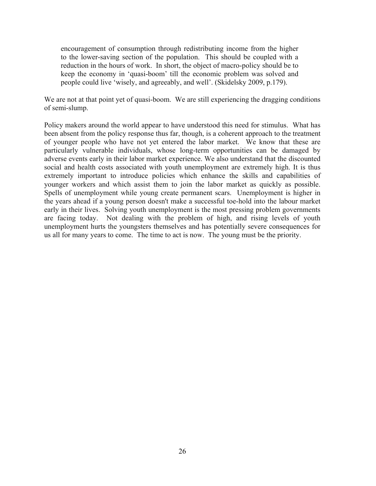encouragement of consumption through redistributing income from the higher to the lower-saving section of the population. This should be coupled with a reduction in the hours of work. In short, the object of macro-policy should be to keep the economy in 'quasi-boom' till the economic problem was solved and people could live 'wisely, and agreeably, and well'. (Skidelsky 2009, p.179).

We are not at that point yet of quasi-boom. We are still experiencing the dragging conditions of semi-slump.

Policy makers around the world appear to have understood this need for stimulus. What has been absent from the policy response thus far, though, is a coherent approach to the treatment of younger people who have not yet entered the labor market. We know that these are particularly vulnerable individuals, whose long-term opportunities can be damaged by adverse events early in their labor market experience. We also understand that the discounted social and health costs associated with youth unemployment are extremely high. It is thus extremely important to introduce policies which enhance the skills and capabilities of younger workers and which assist them to join the labor market as quickly as possible. Spells of unemployment while young create permanent scars. Unemployment is higher in the years ahead if a young person doesn't make a successful toe-hold into the labour market early in their lives. Solving youth unemployment is the most pressing problem governments are facing today. Not dealing with the problem of high, and rising levels of youth unemployment hurts the youngsters themselves and has potentially severe consequences for us all for many years to come. The time to act is now. The young must be the priority.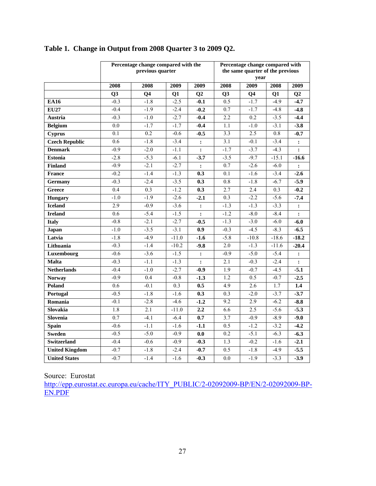|                       | Percentage change compared with the<br>previous quarter |                |         | Percentage change compared with<br>the same quarter of the previous |                  |                |                  |                |  |
|-----------------------|---------------------------------------------------------|----------------|---------|---------------------------------------------------------------------|------------------|----------------|------------------|----------------|--|
|                       |                                                         |                |         |                                                                     |                  | year           |                  |                |  |
|                       | 2008                                                    | 2008           | 2009    | 2009                                                                | 2008             | 2009           | 2008             | 2009           |  |
|                       | Q <sub>3</sub>                                          | Q <sub>4</sub> | Q1      | Q2                                                                  | Q3               | Q <sub>4</sub> | Q1               | Q <sub>2</sub> |  |
| <b>EA16</b>           | $-0.3$                                                  | $-1.8$         | $-2.5$  | $-0.1$                                                              | 0.5              | $-1.7$         | $-4.9$           | $-4.7$         |  |
| <b>EU27</b>           | $-0.4$                                                  | $-1.9$         | $-2.4$  | $-0.2$                                                              | 0.7              | $-1.7$         | $-4.8$           | $-4.8$         |  |
| Austria               | $-0.3$                                                  | $-1.0$         | $-2.7$  | $-0.4$                                                              | 2.2              | 0.2            | $-3.5$           | $-4.4$         |  |
| <b>Belgium</b>        | 0.0                                                     | $-1.7$         | $-1.7$  | $-0.4$                                                              | 1.1              | $-1.0$         | $-3.1$           | $-3.8$         |  |
| <b>Cyprus</b>         | 0.1                                                     | 0.2            | $-0.6$  | $-0.5$                                                              | 3.3              | 2.5            | 0.8              | $-0.7$         |  |
| <b>Czech Republic</b> | 0.6                                                     | $-1.8$         | $-3.4$  | :                                                                   | 3.1              | $-0.1$         | $-3.4$           | $\ddot{\cdot}$ |  |
| <b>Denmark</b>        | $-0.9$                                                  | $-2.0$         | $-1.1$  | $\ddot{\cdot}$                                                      | $-1.7$           | $-3.7$         | $-4.3$           | $\ddot{\cdot}$ |  |
| <b>Estonia</b>        | $-2.8$                                                  | $-5.3$         | $-6.1$  | $-3.7$                                                              | $-3.5$           | $-9.7$         | $-15.1$          | $-16.6$        |  |
| <b>Finland</b>        | $-0.9$                                                  | $-2.1$         | $-2.7$  | :                                                                   | 0.7              | $-2.6$         | $-6.0$           | :              |  |
| <b>France</b>         | $-0.2$                                                  | $-1.4$         | $-1.3$  | 0.3                                                                 | 0.1              | $-1.6$         | $-3.4$           | $-2.6$         |  |
| Germany               | $-0.3$                                                  | $-2.4$         | $-3.5$  | 0.3                                                                 | $\overline{0.8}$ | $-1.8$         | $-6.7$           | $-5.9$         |  |
| Greece                | 0.4                                                     | 0.3            | $-1.2$  | 0.3                                                                 | 2.7              | 2.4            | $\overline{0.3}$ | $-0.2$         |  |
| <b>Hungary</b>        | $-1.0$                                                  | $-1.9$         | $-2.6$  | $-2.1$                                                              | 0.3              | $-2.2$         | $-5.6$           | $-7.4$         |  |
| <b>Iceland</b>        | 2.9                                                     | $-0.9$         | $-3.6$  | $\ddot{\cdot}$                                                      | $-1.3$           | $-1.3$         | $-3.3$           | :              |  |
| <b>Ireland</b>        | 0.6                                                     | $-5.4$         | $-1.5$  | $\ddot{\cdot}$                                                      | $-1.2$           | $-8.0$         | $-8.4$           | $\ddot{\cdot}$ |  |
| <b>Italy</b>          | $-0.8$                                                  | $-2.1$         | $-2.7$  | $-0.5$                                                              | $-1.3$           | $-3.0$         | $-6.0$           | $-6.0$         |  |
| Japan                 | $-1.0$                                                  | $-3.5$         | $-3.1$  | 0.9                                                                 | $-0.3$           | $-4.5$         | $-8.3$           | $-6.5$         |  |
| Latvia                | $-1.8$                                                  | $-4.9$         | $-11.0$ | $-1.6$                                                              | $-5.8$           | $-10.8$        | $-18.6$          | $-18.2$        |  |
| Lithuania             | $-0.3$                                                  | $-1.4$         | $-10.2$ | $-9.8$                                                              | 2.0              | $-1.3$         | $-11.6$          | $-20.4$        |  |
| Luxembourg            | $-0.6$                                                  | $-3.6$         | $-1.5$  | $\ddot{\cdot}$                                                      | $-0.9$           | $-5.0$         | $-5.4$           | :              |  |
| <b>Malta</b>          | $-0.3$                                                  | $-1.1$         | $-1.3$  | $\ddot{\cdot}$                                                      | 2.1              | $-0.3$         | $-2.4$           | $\ddot{\cdot}$ |  |
| <b>Netherlands</b>    | $-0.4$                                                  | $-1.0$         | $-2.7$  | $-0.9$                                                              | 1.9              | $-0.7$         | $-4.5$           | $-5.1$         |  |
| <b>Norway</b>         | $-0.9$                                                  | 0.4            | $-0.8$  | $-1.3$                                                              | 1.2              | 0.5            | $-0.7$           | $-2.5$         |  |
| Poland                | 0.6                                                     | $-0.1$         | 0.3     | 0.5                                                                 | 4.9              | 2.6            | 1.7              | 1.4            |  |
| Portugal              | $-0.5$                                                  | $-1.8$         | $-1.6$  | 0.3                                                                 | $\overline{0.3}$ | $-2.0$         | $-3.7$           | $-3.7$         |  |
| Romania               | $-0.1$                                                  | $-2.8$         | $-4.6$  | $-1.2$                                                              | 9.2              | 2.9            | $-6.2$           | $-8.8$         |  |
| Slovakia              | 1.8                                                     | 2.1            | $-11.0$ | 2,2                                                                 | 6.6              | 2.5            | $-5.6$           | $-5.3$         |  |
| Slovenia              | $\overline{0.7}$                                        | $-4.1$         | $-6.4$  | 0.7                                                                 | $\overline{3.7}$ | $-0.9$         | $-8.9$           | $-9.0$         |  |
| Spain                 | $-0.6$                                                  | $-1.1$         | $-1.6$  | $-1.1$                                                              | 0.5              | $-1.2$         | $-3.2$           | $-4.2$         |  |
| <b>Sweden</b>         | $-0.5$                                                  | $-5.0$         | $-0.9$  | $\overline{0.0}$                                                    | 0.2              | $-5.1$         | $-6.3$           | $-6.3$         |  |
| Switzerland           | $-0.4$                                                  | $-0.6$         | $-0.9$  | $-0.3$                                                              | 1.3              | $-0.2$         | $-1.6$           | $-2.1$         |  |
| <b>United Kingdom</b> | $-0.7$                                                  | $-1.8$         | $-2.4$  | $-0.7$                                                              | 0.5              | $-1.8$         | $-4.9$           | $-5.5$         |  |
| <b>United States</b>  | $-0.7$                                                  | $-1.4$         | $-1.6$  | $-0.3$                                                              | $\overline{0.0}$ | $-1.9$         | $-3.3$           | $-3.9$         |  |

# **Table 1. Change in Output from 2008 Quarter 3 to 2009 Q2.**

Source: Eurostat

[http://epp.eurostat.ec.europa.eu/cache/ITY\\_PUBLIC/2-02092009-BP/EN/2-02092009-BP-](http://epp.eurostat.ec.europa.eu/cache/ITY_PUBLIC/2-02092009-BP/EN/2-02092009-BP-EN.PDF)[EN.PDF](http://epp.eurostat.ec.europa.eu/cache/ITY_PUBLIC/2-02092009-BP/EN/2-02092009-BP-EN.PDF)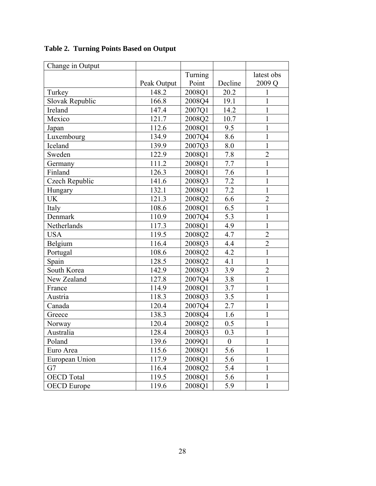| Change in Output   |             |         |                  |                   |
|--------------------|-------------|---------|------------------|-------------------|
|                    |             | Turning |                  | latest obs        |
|                    | Peak Output | Point   | Decline          | 2009 <sub>Q</sub> |
| Turkey             | 148.2       | 2008Q1  | 20.2             | 1                 |
| Slovak Republic    | 166.8       | 2008Q4  | 19.1             | $\mathbf 1$       |
| Ireland            | 147.4       | 2007Q1  | 14.2             | 1                 |
| Mexico             | 121.7       | 2008Q2  | 10.7             | $\mathbf{1}$      |
| Japan              | 112.6       | 2008Q1  | 9.5              | $\mathbf 1$       |
| Luxembourg         | 134.9       | 2007Q4  | 8.6              | $\mathbf{1}$      |
| Iceland            | 139.9       | 2007Q3  | 8.0              | $\mathbf{1}$      |
| Sweden             | 122.9       | 2008Q1  | 7.8              | $\overline{2}$    |
| Germany            | 111.2       | 2008Q1  | 7.7              | $\mathbf{1}$      |
| Finland            | 126.3       | 2008Q1  | 7.6              | $\mathbf{1}$      |
| Czech Republic     | 141.6       | 2008Q3  | 7.2              | $\mathbf{1}$      |
| Hungary            | 132.1       | 2008Q1  | 7.2              | $\mathbf{1}$      |
| <b>UK</b>          | 121.3       | 2008Q2  | 6.6              | $\overline{2}$    |
| Italy              | 108.6       | 2008Q1  | 6.5              | $\mathbf{1}$      |
| Denmark            | 110.9       | 2007Q4  | 5.3              | $\mathbf{1}$      |
| Netherlands        | 117.3       | 2008Q1  | 4.9              | $\mathbf{1}$      |
| <b>USA</b>         | 119.5       | 2008Q2  | 4.7              | $\overline{2}$    |
| Belgium            | 116.4       | 2008Q3  | 4.4              | $\overline{2}$    |
| Portugal           | 108.6       | 2008Q2  | 4.2              | $\mathbf{1}$      |
| Spain              | 128.5       | 2008Q2  | 4.1              | $\mathbf{1}$      |
| South Korea        | 142.9       | 2008Q3  | 3.9              | $\overline{2}$    |
| New Zealand        | 127.8       | 2007Q4  | 3.8              | $\mathbf{1}$      |
| France             | 114.9       | 2008Q1  | 3.7              | $\mathbf{1}$      |
| Austria            | 118.3       | 2008Q3  | 3.5              | $\mathbf{1}$      |
| Canada             | 120.4       | 2007Q4  | 2.7              | $\mathbf{1}$      |
| Greece             | 138.3       | 2008Q4  | 1.6              | $\mathbf{1}$      |
| Norway             | 120.4       | 2008Q2  | 0.5              | 1                 |
| Australia          | 128.4       | 2008Q3  | 0.3              | $\mathbf{1}$      |
| Poland             | 139.6       | 2009Q1  | $\boldsymbol{0}$ | 1                 |
| Euro Area          | 115.6       | 2008Q1  | 5.6              | 1                 |
| European Union     | 117.9       | 2008Q1  | 5.6              | 1                 |
| G7                 | 116.4       | 2008Q2  | 5.4              | $\mathbf{1}$      |
| <b>OECD</b> Total  | 119.5       | 2008Q1  | 5.6              | 1                 |
| <b>OECD</b> Europe | 119.6       | 2008Q1  | 5.9              | $\mathbf{1}$      |

**Table 2. Turning Points Based on Output**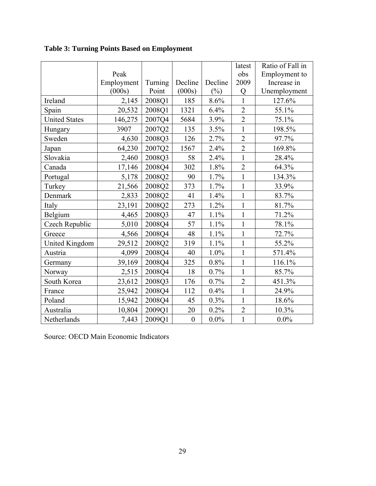|                       |            |         |                  |         | latest         | Ratio of Fall in |
|-----------------------|------------|---------|------------------|---------|----------------|------------------|
|                       | Peak       |         |                  |         | obs            | Employment to    |
|                       | Employment | Turning | Decline          | Decline | 2009           | Increase in      |
|                       | (000s)     | Point   | (000s)           | $(\%)$  | Q              | Unemployment     |
| Ireland               | 2,145      | 2008Q1  | 185              | 8.6%    | 1              | 127.6%           |
| Spain                 | 20,532     | 2008Q1  | 1321             | 6.4%    | $\overline{2}$ | 55.1%            |
| <b>United States</b>  | 146,275    | 2007Q4  | 5684             | 3.9%    | $\overline{2}$ | 75.1%            |
| Hungary               | 3907       | 2007Q2  | 135              | 3.5%    | $\mathbf{1}$   | 198.5%           |
| Sweden                | 4,630      | 2008Q3  | 126              | 2.7%    | $\overline{2}$ | 97.7%            |
| Japan                 | 64,230     | 2007Q2  | 1567             | 2.4%    | $\overline{2}$ | 169.8%           |
| Slovakia              | 2,460      | 2008Q3  | 58               | 2.4%    | $\mathbf{1}$   | 28.4%            |
| Canada                | 17,146     | 2008Q4  | 302              | 1.8%    | $\overline{2}$ | 64.3%            |
| Portugal              | 5,178      | 2008Q2  | 90               | 1.7%    | $\mathbf{1}$   | 134.3%           |
| Turkey                | 21,566     | 2008Q2  | 373              | 1.7%    | $\mathbf{1}$   | 33.9%            |
| Denmark               | 2,833      | 2008Q2  | 41               | 1.4%    | $\mathbf{1}$   | 83.7%            |
| Italy                 | 23,191     | 2008Q2  | 273              | 1.2%    | $\mathbf{1}$   | 81.7%            |
| Belgium               | 4,465      | 2008Q3  | 47               | 1.1%    | $\mathbf{1}$   | 71.2%            |
| Czech Republic        | 5,010      | 2008Q4  | 57               | 1.1%    | $\mathbf{1}$   | 78.1%            |
| Greece                | 4,566      | 2008Q4  | 48               | 1.1%    | $\mathbf{1}$   | 72.7%            |
| <b>United Kingdom</b> | 29,512     | 2008Q2  | 319              | 1.1%    | $\mathbf{1}$   | 55.2%            |
| Austria               | 4,099      | 2008Q4  | 40               | 1.0%    | $\mathbf{1}$   | 571.4%           |
| Germany               | 39,169     | 2008Q4  | 325              | 0.8%    | $\mathbf{1}$   | 116.1%           |
| Norway                | 2,515      | 2008Q4  | 18               | 0.7%    | $\mathbf{1}$   | 85.7%            |
| South Korea           | 23,612     | 2008Q3  | 176              | 0.7%    | $\overline{2}$ | 451.3%           |
| France                | 25,942     | 2008Q4  | 112              | 0.4%    | $\mathbf{1}$   | 24.9%            |
| Poland                | 15,942     | 2008Q4  | 45               | 0.3%    | $\mathbf{1}$   | 18.6%            |
| Australia             | 10,804     | 2009Q1  | 20               | 0.2%    | $\overline{2}$ | 10.3%            |
| Netherlands           | 7,443      | 2009Q1  | $\boldsymbol{0}$ | $0.0\%$ | $\mathbf{1}$   | $0.0\%$          |

**Table 3: Turning Points Based on Employment** 

Source: OECD Main Economic Indicators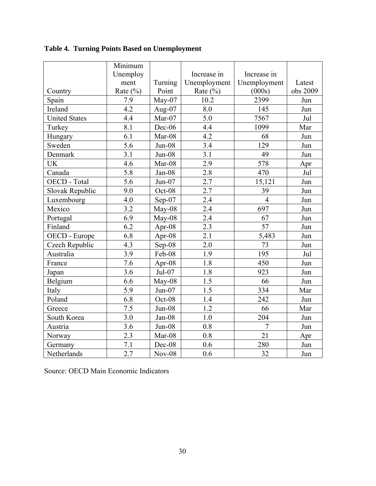|                      | Minimum          |           |              |                |          |
|----------------------|------------------|-----------|--------------|----------------|----------|
|                      | Unemploy         |           | Increase in  | Increase in    |          |
|                      | ment             | Turning   | Unemployment | Unemployment   | Latest   |
| Country              | Rate $(\% )$     | Point     | Rate $(\% )$ | (000s)         | obs 2009 |
| Spain                | 7.9              | $May-07$  | 10.2         | 2399           | Jun      |
| Ireland              | 4.2              | Aug- $07$ | 8.0          | 145            | Jun      |
| <b>United States</b> | 4.4              | Mar-07    | 5.0          | 7567           | Jul      |
| Turkey               | 8.1              | Dec-06    | 4.4          | 1099           | Mar      |
| Hungary              | 6.1              | Mar-08    | 4.2          | 68             | Jun      |
| Sweden               | 5.6              | $Jun-08$  | 3.4          | 129            | Jun      |
| Denmark              | 3.1              | $Jun-08$  | 3.1          | 49             | Jun      |
| <b>UK</b>            | 4.6              | Mar-08    | 2.9          | 578            | Apr      |
| Canada               | 5.8              | Jan-08    | 2.8          | 470            | Jul      |
| OECD - Total         | $\overline{5.6}$ | $Jun-07$  | 2.7          | 15,121         | Jun      |
| Slovak Republic      | 9.0              | Oct-08    | 2.7          | 39             | Jun      |
| Luxembourg           | 4.0              | Sep-07    | 2.4          | $\overline{4}$ | Jun      |
| Mexico               | 3.2              | May-08    | 2.4          | 697            | Jun      |
| Portugal             | 6.9              | May-08    | 2.4          | 67             | Jun      |
| Finland              | 6.2              | Apr-08    | 2.3          | 57             | Jun      |
| OECD - Europe        | 6.8              | Apr-08    | 2.1          | 5,483          | Jun      |
| Czech Republic       | 4.3              | Sep-08    | 2.0          | 73             | Jun      |
| Australia            | 3.9              | Feb-08    | 1.9          | 195            | Jul      |
| France               | 7.6              | Apr-08    | 1.8          | 450            | Jun      |
| Japan                | 3.6              | Jul-07    | 1.8          | 923            | Jun      |
| Belgium              | 6.6              | May-08    | 1.5          | 66             | Jun      |
| Italy                | 5.9              | $Jun-07$  | 1.5          | 334            | Mar      |
| Poland               | 6.8              | Oct-08    | 1.4          | 242            | Jun      |
| Greece               | 7.5              | $Jun-08$  | 1.2          | 66             | Mar      |
| South Korea          | 3.0              | Jan-08    | 1.0          | 204            | Jun      |
| Austria              | 3.6              | $Jun-08$  | 0.8          | $\overline{7}$ | Jun      |
| Norway               | 2.3              | Mar-08    | 0.8          | 21             | Apr      |
| Germany              | 7.1              | Dec-08    | 0.6          | 280            | Jun      |
| Netherlands          | 2.7              | $Nov-08$  | 0.6          | 32             | Jun      |

**Table 4. Turning Points Based on Unemployment** 

Source: OECD Main Economic Indicators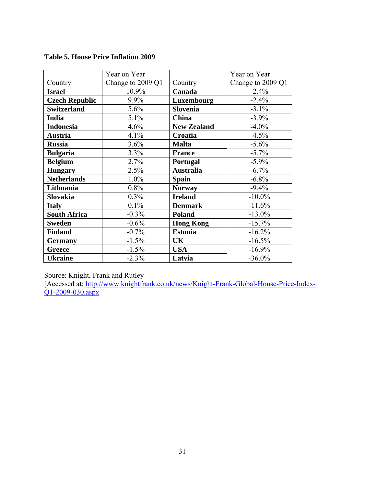|                       | Year on Year      |                    | Year on Year      |
|-----------------------|-------------------|--------------------|-------------------|
| Country               | Change to 2009 Q1 | Country            | Change to 2009 Q1 |
| <b>Israel</b>         | 10.9%             | Canada             | $-2.4%$           |
| <b>Czech Republic</b> | $9.9\%$           | Luxembourg         | $-2.4%$           |
| <b>Switzerland</b>    | 5.6%              | <b>Slovenia</b>    | $-3.1\%$          |
| <b>India</b>          | $5.1\%$           | <b>China</b>       | $-3.9%$           |
| <b>Indonesia</b>      | 4.6%              | <b>New Zealand</b> | $-4.0\%$          |
| <b>Austria</b>        | 4.1%              | Croatia            | $-4.5%$           |
| <b>Russia</b>         | 3.6%              | <b>Malta</b>       | $-5.6%$           |
| <b>Bulgaria</b>       | 3.3%              | <b>France</b>      | $-5.7%$           |
| <b>Belgium</b>        | 2.7%              | <b>Portugal</b>    | $-5.9\%$          |
| <b>Hungary</b>        | 2.5%              | <b>Australia</b>   | $-6.7%$           |
| <b>Netherlands</b>    | 1.0%              | <b>Spain</b>       | $-6.8%$           |
| Lithuania             | 0.8%              | <b>Norway</b>      | $-9.4%$           |
| <b>Slovakia</b>       | 0.3%              | <b>Ireland</b>     | $-10.0\%$         |
| <b>Italy</b>          | 0.1%              | <b>Denmark</b>     | $-11.6%$          |
| <b>South Africa</b>   | $-0.3%$           | <b>Poland</b>      | $-13.0\%$         |
| <b>Sweden</b>         | $-0.6%$           | <b>Hong Kong</b>   | $-15.7%$          |
| <b>Finland</b>        | $-0.7%$           | <b>Estonia</b>     | $-16.2%$          |
| <b>Germany</b>        | $-1.5%$           | UK                 | $-16.5%$          |
| <b>Greece</b>         | $-1.5%$           | <b>USA</b>         | $-16.9%$          |
| <b>Ukraine</b>        | $-2.3%$           | Latvia             | $-36.0\%$         |

**Table 5. House Price Inflation 2009** 

Source: Knight, Frank and Rutley

[Accessed at: http://www.knightfrank.co.uk/news/Knight-Frank-Global-House-Price-Index-Q1-2009-030.aspx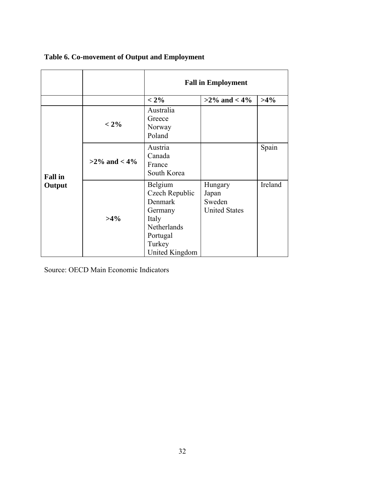|                |                    | <b>Fall in Employment</b>                                                                                       |                                                    |         |  |  |  |  |
|----------------|--------------------|-----------------------------------------------------------------------------------------------------------------|----------------------------------------------------|---------|--|--|--|--|
|                |                    | $< 2\%$                                                                                                         | $>2\%$ and $< 4\%$                                 | $>4\%$  |  |  |  |  |
| <b>Fall</b> in | $< 2\%$            | Australia<br>Greece<br>Norway<br>Poland                                                                         |                                                    |         |  |  |  |  |
|                | $>2\%$ and $< 4\%$ | Austria<br>Canada<br>France<br>South Korea                                                                      |                                                    | Spain   |  |  |  |  |
| Output         | $>4\%$             | Belgium<br>Czech Republic<br>Denmark<br>Germany<br>Italy<br>Netherlands<br>Portugal<br>Turkey<br>United Kingdom | Hungary<br>Japan<br>Sweden<br><b>United States</b> | Ireland |  |  |  |  |

# **Table 6. Co-movement of Output and Employment**

Source: OECD Main Economic Indicators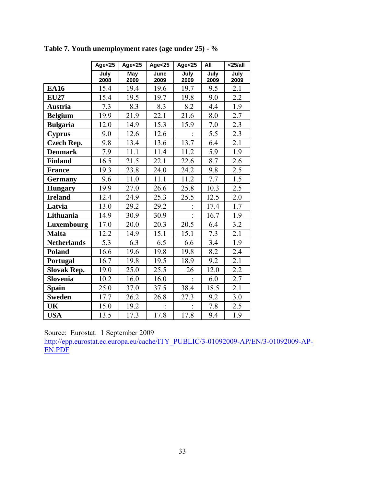|                    | Age $<$ 25   | Age $<$ 25         | Age $<$ 25   | Age $<$ 25   | All          | $25/all$     |
|--------------------|--------------|--------------------|--------------|--------------|--------------|--------------|
|                    | July<br>2008 | <b>May</b><br>2009 | June<br>2009 | July<br>2009 | July<br>2009 | July<br>2009 |
| <b>EA16</b>        | 15.4         | 19.4               | 19.6         | 19.7         | 9.5          | 2.1          |
| <b>EU27</b>        | 15.4         | 19.5               | 19.7         | 19.8         | 9.0          | 2.2          |
| <b>Austria</b>     | 7.3          | 8.3                | 8.3          | 8.2          | 4.4          | 1.9          |
| <b>Belgium</b>     | 19.9         | 21.9               | 22.1         | 21.6         | 8.0          | 2.7          |
| <b>Bulgaria</b>    | 12.0         | 14.9               | 15.3         | 15.9         | 7.0          | 2.3          |
| <b>Cyprus</b>      | 9.0          | 12.6               | 12.6         |              | 5.5          | 2.3          |
| <b>Czech Rep.</b>  | 9.8          | 13.4               | 13.6         | 13.7         | 6.4          | 2.1          |
| <b>Denmark</b>     | 7.9          | 11.1               | 11.4         | 11.2         | 5.9          | 1.9          |
| <b>Finland</b>     | 16.5         | 21.5               | 22.1         | 22.6         | 8.7          | 2.6          |
| <b>France</b>      | 19.3         | 23.8               | 24.0         | 24.2         | 9.8          | 2.5          |
| <b>Germany</b>     | 9.6          | 11.0               | 11.1         | 11.2         | 7.7          | 1.5          |
| <b>Hungary</b>     | 19.9         | 27.0               | 26.6         | 25.8         | 10.3         | 2.5          |
| <b>Ireland</b>     | 12.4         | 24.9               | 25.3         | 25.5         | 12.5         | 2.0          |
| Latvia             | 13.0         | 29.2               | 29.2         |              | 17.4         | 1.7          |
| Lithuania          | 14.9         | 30.9               | 30.9         |              | 16.7         | 1.9          |
| Luxembourg         | 17.0         | 20.0               | 20.3         | 20.5         | 6.4          | 3.2          |
| <b>Malta</b>       | 12.2         | 14.9               | 15.1         | 15.1         | 7.3          | 2.1          |
| <b>Netherlands</b> | 5.3          | 6.3                | 6.5          | 6.6          | 3.4          | 1.9          |
| <b>Poland</b>      | 16.6         | 19.6               | 19.8         | 19.8         | 8.2          | 2.4          |
| Portugal           | 16.7         | 19.8               | 19.5         | 18.9         | 9.2          | 2.1          |
| <b>Slovak Rep.</b> | 19.0         | 25.0               | 25.5         | 26           | 12.0         | 2.2          |
| Slovenia           | 10.2         | 16.0               | 16.0         |              | 6.0          | 2.7          |
| <b>Spain</b>       | 25.0         | 37.0               | 37.5         | 38.4         | 18.5         | 2.1          |
| <b>Sweden</b>      | 17.7         | 26.2               | 26.8         | 27.3         | 9.2          | 3.0          |
| UK                 | 15.0         | 19.2               |              |              | 7.8          | 2.5          |
| <b>USA</b>         | 13.5         | 17.3               | 17.8         | 17.8         | 9.4          | 1.9          |

**Table 7. Youth unemployment rates (age under 25) - %**

Source: Eurostat. 1 September 2009

http://epp.eurostat.ec.europa.eu/cache/ITY\_PUBLIC/3-01092009-AP/EN/3-01092009-AP-EN.PDF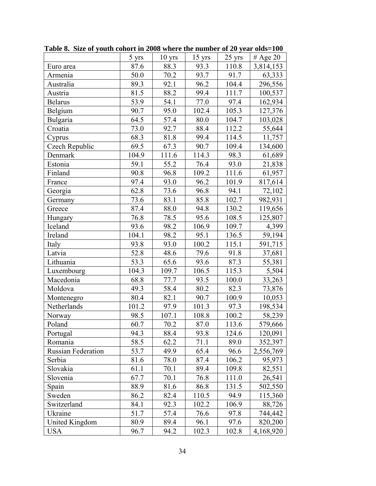|                           | $5 \text{ yrs}$ | $10$ yrs | 15 yrs | 25 yrs | # Age 20  |
|---------------------------|-----------------|----------|--------|--------|-----------|
| Euro area                 | 87.6            | 88.3     | 93.3   | 110.8  | 3,814,153 |
| Armenia                   | 50.0            | 70.2     | 93.7   | 91.7   | 63,333    |
| Australia                 | 89.3            | 92.1     | 96.2   | 104.4  | 296,556   |
| Austria                   | 81.5            | 88.2     | 99.4   | 111.7  | 100,537   |
| <b>Belarus</b>            | 53.9            | 54.1     | 77.0   | 97.4   | 162,934   |
| Belgium                   | 90.7            | 95.0     | 102.4  | 105.3  | 127,376   |
| Bulgaria                  | 64.5            | 57.4     | 80.0   | 104.7  | 103,028   |
| Croatia                   | 73.0            | 92.7     | 88.4   | 112.2  | 55,644    |
| Cyprus                    | 68.3            | 81.8     | 99.4   | 114.5  | 11,757    |
| Czech Republic            | 69.5            | 67.3     | 90.7   | 109.4  | 134,600   |
| Denmark                   | 104.9           | 111.6    | 114.3  | 98.3   | 61,689    |
| Estonia                   | 59.1            | 55.2     | 76.4   | 93.0   | 21,838    |
| Finland                   | 90.8            | 96.8     | 109.2  | 111.6  | 61,957    |
| France                    | 97.4            | 93.0     | 96.2   | 101.9  | 817,614   |
| Georgia                   | 62.8            | 73.6     | 96.8   | 94.1   | 72,102    |
| Germany                   | 73.6            | 83.1     | 85.8   | 102.7  | 982,931   |
| Greece                    | 87.4            | 88.0     | 94.8   | 130.2  | 119,656   |
| Hungary                   | 76.8            | 78.5     | 95.6   | 108.5  | 125,807   |
| Iceland                   | 93.6            | 98.2     | 106.9  | 109.7  | 4,399     |
| Ireland                   | 104.1           | 98.2     | 95.1   | 136.5  | 59,194    |
| Italy                     | 93.8            | 93.0     | 100.2  | 115.1  | 591,715   |
| Latvia                    | 52.8            | 48.6     | 79.6   | 91.8   | 37,681    |
| Lithuania                 | 53.3            | 65.6     | 93.6   | 87.3   | 55,381    |
| Luxembourg                | 104.3           | 109.7    | 106.5  | 115.3  | 5,504     |
| Macedonia                 | 68.8            | 77.7     | 93.5   | 100.0  | 33,263    |
| Moldova                   | 49.3            | 58.4     | 80.2   | 82.3   | 73,876    |
| Montenegro                | 80.4            | 82.1     | 90.7   | 100.9  | 10,053    |
| Netherlands               | 101.2           | 97.9     | 101.3  | 97.3   | 198,534   |
| Norway                    | 98.5            | 107.1    | 108.8  | 100.2  | 58,239    |
| Poland                    | 60.7            | 70.2     | 87.0   | 113.6  | 579,666   |
| Portugal                  | 94.3            | 88.4     | 93.8   | 124.6  | 120,091   |
| Romania                   | 58.5            | 62.2     | 71.1   | 89.0   | 352,397   |
| <b>Russian Federation</b> | 53.7            | 49.9     | 65.4   | 96.6   | 2,556,769 |
| Serbia                    | 81.6            | 78.0     | 87.4   | 106.2  | 95,973    |
| Slovakia                  | 61.1            | 70.1     | 89.4   | 109.8  | 82,551    |
| Slovenia                  | 67.7            | 70.1     | 76.8   | 111.0  | 26,541    |
| Spain                     | 88.9            | 81.6     | 86.8   | 131.5  | 502,550   |
| Sweden                    | 86.2            | 82.4     | 110.5  | 94.9   | 115,360   |
| Switzerland               | 84.1            | 92.3     | 102.2  | 106.9  | 88,726    |
| Ukraine                   | 51.7            | 57.4     | 76.6   | 97.8   | 744,442   |
| United Kingdom            | 80.9            | 89.4     | 96.1   | 97.6   | 820,200   |
| <b>USA</b>                | 96.7            | 94.2     | 102.3  | 102.8  | 4,168,920 |

**Table 8. Size of youth cohort in 2008 where the number of 20 year olds=100**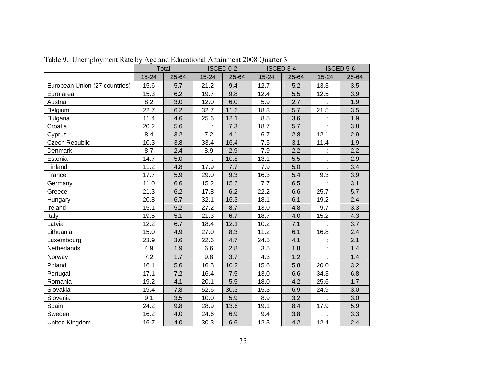|                               | Total     |       |           | ISCED 0-2 |           | <b>ISCED 3-4</b> | <b>ISCED 5-6</b> |       |
|-------------------------------|-----------|-------|-----------|-----------|-----------|------------------|------------------|-------|
|                               | $15 - 24$ | 25-64 | $15 - 24$ | 25-64     | $15 - 24$ | 25-64            | $15 - 24$        | 25-64 |
| European Union (27 countries) | 15.6      | 5.7   | 21.2      | 9.4       | 12.7      | 5.2              | 13.3             | 3.5   |
| Euro area                     | 15.3      | 6.2   | 19.7      | 9.8       | 12.4      | 5.5              | 12.5             | 3.9   |
| Austria                       | 8.2       | 3.0   | 12.0      | 6.0       | 5.9       | 2.7              | ł.               | 1.9   |
| Belgium                       | 22.7      | 6.2   | 32.7      | 11.6      | 18.3      | 5.7              | 21.5             | 3.5   |
| <b>Bulgaria</b>               | 11.4      | 4.6   | 25.6      | 12.1      | 8.5       | 3.6              | ÷                | 1.9   |
| Croatia                       | 20.2      | 5.6   |           | 7.3       | 18.7      | 5.7              | ł.               | 3.8   |
| Cyprus                        | 8.4       | 3.2   | 7.2       | 4.1       | 6.7       | 2.8              | 12.1             | 2.9   |
| <b>Czech Republic</b>         | 10.3      | 3.8   | 33.4      | 16.4      | 7.5       | 3.1              | 11.4             | 1.9   |
| Denmark                       | 8.7       | 2.4   | 8.9       | 2.9       | 7.9       | 2.2              |                  | 2.2   |
| Estonia                       | 14.7      | 5.0   | t         | 10.8      | 13.1      | 5.5              |                  | 2.9   |
| Finland                       | 11.2      | 4.8   | 17.9      | 7.7       | 7.9       | 5.0              |                  | 3.4   |
| France                        | 17.7      | 5.9   | 29.0      | 9.3       | 16.3      | 5.4              | 9.3              | 3.9   |
| Germany                       | 11.0      | 6.6   | 15.2      | 15.6      | 7.7       | 6.5              |                  | 3.1   |
| Greece                        | 21.3      | 6.2   | 17.8      | 6.2       | 22.2      | 6.6              | 25.7             | 5.7   |
| Hungary                       | 20.8      | 6.7   | 32.1      | 16.3      | 18.1      | 6.1              | 19.2             | 2.4   |
| Ireland                       | 15.1      | 5.2   | 27.2      | 8.7       | 13.0      | 4.8              | 9.7              | 3.3   |
| Italy                         | 19.5      | 5.1   | 21.3      | 6.7       | 18.7      | 4.0              | 15.2             | 4.3   |
| Latvia                        | 12.2      | 6.7   | 18.4      | 12.1      | 10.2      | 7.1              |                  | 3.7   |
| Lithuania                     | 15.0      | 4.9   | 27.0      | 8.3       | 11.2      | 6.1              | 16.8             | 2.4   |
| Luxembourg                    | 23.9      | 3.6   | 22.6      | 4.7       | 24.5      | 4.1              | ł,               | 2.1   |
| Netherlands                   | 4.9       | 1.9   | 6.6       | 2.8       | 3.5       | 1.8              | ł.               | 1.4   |
| <b>Norway</b>                 | 7.2       | 1.7   | 9.8       | 3.7       | 4.3       | 1.2              |                  | 1.4   |
| Poland                        | 16.1      | 5.6   | 16.5      | 10.2      | 15.6      | 5.8              | 20.0             | 3.2   |
| Portugal                      | 17.1      | 7.2   | 16.4      | 7.5       | 13.0      | 6.6              | 34.3             | 6.8   |
| Romania                       | 19.2      | 4.1   | 20.1      | 5.5       | 18.0      | 4.2              | 25.6             | 1.7   |
| Slovakia                      | 19.4      | 7.8   | 52.6      | 30.3      | 15.3      | 6.9              | 24.9             | 3.0   |
| Slovenia                      | 9.1       | 3.5   | 10.0      | 5.9       | 8.9       | 3.2              | ÷.               | 3.0   |
| Spain                         | 24.2      | 9.8   | 28.9      | 13.6      | 19.1      | 8.4              | 17.9             | 5.9   |
| Sweden                        | 16.2      | 4.0   | 24.6      | 6.9       | 9.4       | 3.8              |                  | 3.3   |
| United Kingdom                | 16.7      | 4.0   | 30.3      | 6.6       | 12.3      | 4.2              | 12.4             | 2.4   |

Table 9. Unemployment Rate by Age and Educational Attainment 2008 Quarter 3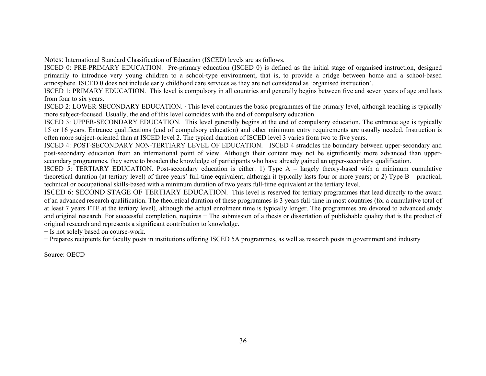Notes: International Standard Classification of Education (ISCED) levels are as follows.

ISCED 0: PRE-PRIMARY EDUCATION. Pre-primary education (ISCED 0) is defined as the initial stage of organised instruction, designed primarily to introduce very young children to a school-type environment, that is, to provide a bridge between home and a school-based atmosphere. ISCED 0 does not include early childhood care services as they are not considered as 'organised instruction'.

ISCED 1: PRIMARY EDUCATION. This level is compulsory in all countries and generally begins between five and seven years of age and lasts from four to six years.

ISCED 2: LOWER-SECONDARY EDUCATION. · This level continues the basic programmes of the primary level, although teaching is typically more subject-focused. Usually, the end of this level coincides with the end of compulsory education.

ISCED 3: UPPER-SECONDARY EDUCATION. This level generally begins at the end of compulsory education. The entrance age is typically 15 or 16 years. Entrance qualifications (end of compulsory education) and other minimum entry requirements are usually needed. Instruction is often more subject-oriented than at ISCED level 2. The typical duration of ISCED level 3 varies from two to five years.

ISCED 4: POST-SECONDARY NON-TERTIARY LEVEL OF EDUCATION. ISCED 4 straddles the boundary between upper-secondary and post-secondary education from an international point of view. Although their content may not be significantly more advanced than uppersecondary programmes, they serve to broaden the knowledge of participants who have already gained an upper-secondary qualification.

ISCED 5: TERTIARY EDUCATION. Post-secondary education is either: 1) Type A – largely theory-based with a minimum cumulative theoretical duration (at tertiary level) of three years' full-time equivalent, although it typically lasts four or more years; or 2) Type B – practical, technical or occupational skills-based with a minimum duration of two years full-time equivalent at the tertiary level.

ISCED 6: SECOND STAGE OF TERTIARY EDUCATION. This level is reserved for tertiary programmes that lead directly to the award of an advanced research qualification. The theoretical duration of these programmes is 3 years full-time in most countries (for a cumulative total of at least 7 years FTE at the tertiary level), although the actual enrolment time is typically longer. The programmes are devoted to advanced study and original research. For successful completion, requires − The submission of a thesis or dissertation of publishable quality that is the product of original research and represents a significant contribution to knowledge.

<sup>−</sup> Is not solely based on course-work.

<sup>−</sup> Prepares recipients for faculty posts in institutions offering ISCED 5A programmes, as well as research posts in government and industry

Source: OECD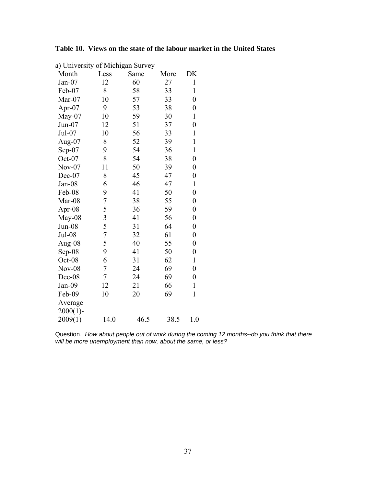| a) University of Michigan Survey |                |      |      |                  |
|----------------------------------|----------------|------|------|------------------|
| Month                            | Less           | Same | More | DK               |
| $Jan-07$                         | 12             | 60   | 27   | $\mathbf{1}$     |
| Feb-07                           | 8              | 58   | 33   | 1                |
| Mar-07                           | 10             | 57   | 33   | $\overline{0}$   |
| Apr-07                           | 9              | 53   | 38   | $\boldsymbol{0}$ |
| May-07                           | 10             | 59   | 30   | $\mathbf{1}$     |
| $Jun-07$                         | 12             | 51   | 37   | $\overline{0}$   |
| Jul-07                           | 10             | 56   | 33   | $\mathbf{1}$     |
| Aug-07                           | 8              | 52   | 39   | $\mathbf{1}$     |
| $Sep-07$                         | 9              | 54   | 36   | $\mathbf{1}$     |
| Oct-07                           | 8              | 54   | 38   | $\overline{0}$   |
| $Nov-07$                         | 11             | 50   | 39   | $\boldsymbol{0}$ |
| Dec-07                           | 8              | 45   | 47   | $\boldsymbol{0}$ |
| Jan-08                           | 6              | 46   | 47   | $\mathbf{1}$     |
| Feb-08                           | 9              | 41   | 50   | $\overline{0}$   |
| Mar-08                           | 7              | 38   | 55   | $\boldsymbol{0}$ |
| Apr-08                           | 5              | 36   | 59   | $\boldsymbol{0}$ |
| May-08                           | 3              | 41   | 56   | $\boldsymbol{0}$ |
| $Jun-08$                         | 5              | 31   | 64   | $\boldsymbol{0}$ |
| Jul-08                           | $\overline{7}$ | 32   | 61   | $\boldsymbol{0}$ |
| Aug-08                           | 5              | 40   | 55   | $\boldsymbol{0}$ |
| $Sep-08$                         | 9              | 41   | 50   | $\boldsymbol{0}$ |
| Oct-08                           | 6              | 31   | 62   | $\mathbf{1}$     |
| <b>Nov-08</b>                    | 7              | 24   | 69   | $\boldsymbol{0}$ |
| Dec-08                           | $\overline{7}$ | 24   | 69   | $\boldsymbol{0}$ |
| Jan-09                           | 12             | 21   | 66   | $\mathbf{1}$     |
| Feb-09                           | 10             | 20   | 69   | $\mathbf{1}$     |
| Average                          |                |      |      |                  |
| $2000(1)$ -                      |                |      |      |                  |
| 2009(1)                          | 14.0           | 46.5 | 38.5 | 1.0              |

Question. *How about people out of work during the coming 12 months--do you think that there will be more unemployment than now, about the same, or less?*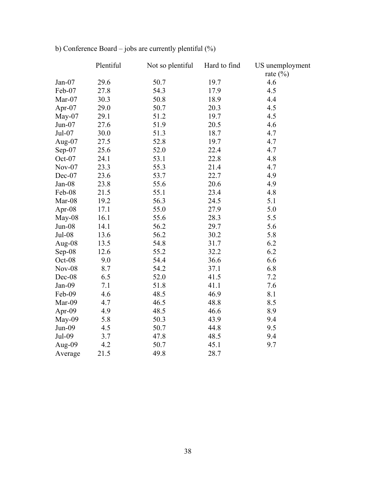|           | Plentiful | Not so plentiful | Hard to find | US unemployment |
|-----------|-----------|------------------|--------------|-----------------|
|           |           |                  |              | rate $(\%)$     |
| Jan-07    | 29.6      | 50.7             | 19.7         | 4.6             |
| Feb-07    | 27.8      | 54.3             | 17.9         | 4.5             |
| Mar-07    | 30.3      | 50.8             | 18.9         | 4.4             |
| Apr-07    | 29.0      | 50.7             | 20.3         | 4.5             |
| $May-07$  | 29.1      | 51.2             | 19.7         | 4.5             |
| $Jun-07$  | 27.6      | 51.9             | 20.5         | 4.6             |
| Jul-07    | 30.0      | 51.3             | 18.7         | 4.7             |
| Aug- $07$ | 27.5      | 52.8             | 19.7         | 4.7             |
| Sep-07    | 25.6      | 52.0             | 22.4         | 4.7             |
| Oct-07    | 24.1      | 53.1             | 22.8         | 4.8             |
| $Nov-07$  | 23.3      | 55.3             | 21.4         | 4.7             |
| Dec-07    | 23.6      | 53.7             | 22.7         | 4.9             |
| $Jan-08$  | 23.8      | 55.6             | 20.6         | 4.9             |
| Feb-08    | 21.5      | 55.1             | 23.4         | 4.8             |
| Mar-08    | 19.2      | 56.3             | 24.5         | 5.1             |
| Apr-08    | 17.1      | 55.0             | 27.9         | 5.0             |
| May-08    | 16.1      | 55.6             | 28.3         | 5.5             |
| $Jun-08$  | 14.1      | 56.2             | 29.7         | 5.6             |
| Jul-08    | 13.6      | 56.2             | 30.2         | 5.8             |
| Aug-08    | 13.5      | 54.8             | 31.7         | 6.2             |
| Sep-08    | 12.6      | 55.2             | 32.2         | 6.2             |
| Oct-08    | 9.0       | 54.4             | 36.6         | 6.6             |
| $Nov-08$  | 8.7       | 54.2             | 37.1         | 6.8             |
| Dec-08    | 6.5       | 52.0             | 41.5         | 7.2             |
| Jan-09    | 7.1       | 51.8             | 41.1         | 7.6             |
| Feb-09    | 4.6       | 48.5             | 46.9         | 8.1             |
| Mar-09    | 4.7       | 46.5             | 48.8         | 8.5             |
| Apr-09    | 4.9       | 48.5             | 46.6         | 8.9             |
| May-09    | 5.8       | 50.3             | 43.9         | 9.4             |
| $Jun-09$  | 4.5       | 50.7             | 44.8         | 9.5             |
| Jul-09    | 3.7       | 47.8             | 48.5         | 9.4             |
| Aug-09    | 4.2       | 50.7             | 45.1         | 9.7             |
| Average   | 21.5      | 49.8             | 28.7         |                 |

# b) Conference Board – jobs are currently plentiful (%)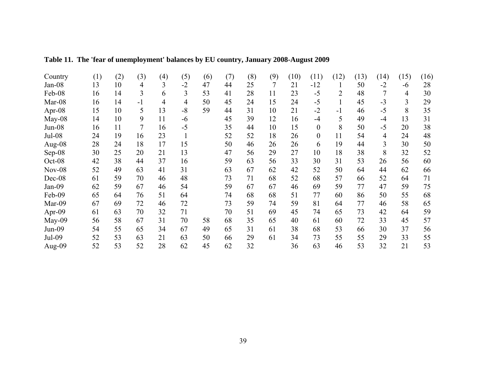| Country  | (1) | (2) | (3)  | (4)            | (5)  | (6) | (7) | (8) | (9) | (10) | (11)             | (12) | (13) | (14) | (15) | (16) |
|----------|-----|-----|------|----------------|------|-----|-----|-----|-----|------|------------------|------|------|------|------|------|
| $Jan-08$ | 13  | 10  | 4    | 3              | $-2$ | 47  | 44  | 25  | 7   | 21   | $-12$            |      | 50   | $-2$ | -6   | 28   |
| Feb-08   | 16  | 14  | 3    | 6              | 3    | 53  | 41  | 28  | 11  | 23   | $-5$             | 2    | 48   |      | 4    | 30   |
| Mar-08   | 16  | 14  | $-1$ | $\overline{4}$ | 4    | 50  | 45  | 24  | 15  | 24   | $-5$             |      | 45   | $-3$ | 3    | 29   |
| Apr-08   | 15  | 10  | 5    | 13             | $-8$ | 59  | 44  | 31  | 10  | 21   | $-2$             | $-1$ | 46   | $-5$ | 8    | 35   |
| $May-08$ | 14  | 10  | 9    | 11             | -6   |     | 45  | 39  | 12  | 16   | -4               | 5    | 49   | $-4$ | 13   | 31   |
| $Jun-08$ | 16  | 11  | 7    | 16             | $-5$ |     | 35  | 44  | 10  | 15   | $\theta$         | 8    | 50   | $-5$ | 20   | 38   |
| Jul-08   | 24  | 19  | 16   | 23             |      |     | 52  | 52  | 18  | 26   | $\boldsymbol{0}$ | 11   | 54   | 4    | 24   | 48   |
| Aug-08   | 28  | 24  | 18   | 17             | 15   |     | 50  | 46  | 26  | 26   | 6                | 19   | 44   | 3    | 30   | 50   |
| Sep-08   | 30  | 25  | 20   | 21             | 13   |     | 47  | 56  | 29  | 27   | 10               | 18   | 38   | 8    | 32   | 52   |
| Oct-08   | 42  | 38  | 44   | 37             | 16   |     | 59  | 63  | 56  | 33   | 30               | 31   | 53   | 26   | 56   | 60   |
| $Nov-08$ | 52  | 49  | 63   | 41             | 31   |     | 63  | 67  | 62  | 42   | 52               | 50   | 64   | 44   | 62   | 66   |
| Dec-08   | 61  | 59  | 70   | 46             | 48   |     | 73  | 71  | 68  | 52   | 68               | 57   | 66   | 52   | 64   | 71   |
| Jan-09   | 62  | 59  | 67   | 46             | 54   |     | 59  | 67  | 67  | 46   | 69               | 59   | 77   | 47   | 59   | 75   |
| Feb-09   | 65  | 64  | 76   | 51             | 64   |     | 74  | 68  | 68  | 51   | 77               | 60   | 86   | 50   | 55   | 68   |
| Mar-09   | 67  | 69  | 72   | 46             | 72   |     | 73  | 59  | 74  | 59   | 81               | 64   | 77   | 46   | 58   | 65   |
| Apr-09   | 61  | 63  | 70   | 32             | 71   |     | 70  | 51  | 69  | 45   | 74               | 65   | 73   | 42   | 64   | 59   |
| May-09   | 56  | 58  | 67   | 31             | 70   | 58  | 68  | 35  | 65  | 40   | 61               | 60   | 72   | 33   | 45   | 57   |
| Jun-09   | 54  | 55  | 65   | 34             | 67   | 49  | 65  | 31  | 61  | 38   | 68               | 53   | 66   | 30   | 37   | 56   |
| Jul-09   | 52  | 53  | 63   | 21             | 63   | 50  | 66  | 29  | 61  | 34   | 73               | 55   | 55   | 29   | 33   | 55   |
| Aug-09   | 52  | 53  | 52   | 28             | 62   | 45  | 62  | 32  |     | 36   | 63               | 46   | 53   | 32   | 21   | 53   |

# **Table 11. The 'fear of unemployment' balances by EU country, January 2008-August 2009**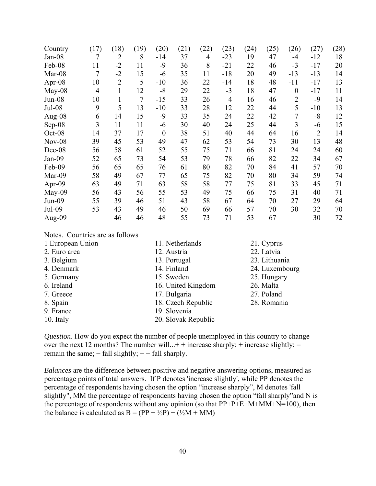| Country  | (17)           | (18)           | (19)           | (20)           | (21) | (22) | (23)           | (24) | (25) | (26)             | (27)           | (28) |
|----------|----------------|----------------|----------------|----------------|------|------|----------------|------|------|------------------|----------------|------|
| Jan-08   | $\overline{7}$ | $\overline{2}$ | 8              | $-14$          | 37   | 4    | $-23$          | 19   | 47   | $-4$             | $-12$          | 18   |
| Feb-08   | 11             | $-2$           | 11             | $-9$           | 36   | 8    | $-21$          | 22   | 46   | $-3$             | $-17$          | 20   |
| Mar-08   | $\overline{7}$ | $-2$           | 15             | $-6$           | 35   | 11   | $-18$          | 20   | 49   | $-13$            | $-13$          | 14   |
| Apr-08   | 10             | $\overline{2}$ | 5              | $-10$          | 36   | 22   | $-14$          | 18   | 48   | $-11$            | $-17$          | 13   |
| May-08   | $\overline{4}$ | $\mathbf{1}$   | 12             | $-8$           | 29   | 22   | $-3$           | 18   | 47   | $\boldsymbol{0}$ | $-17$          | 11   |
| $Jun-08$ | 10             | 1              | $\overline{7}$ | $-15$          | 33   | 26   | $\overline{4}$ | 16   | 46   | $\overline{2}$   | $-9$           | 14   |
| Jul-08   | 9              | 5              | 13             | $-10$          | 33   | 28   | 12             | 22   | 44   | 5                | $-10$          | 13   |
| Aug-08   | 6              | 14             | 15             | -9             | 33   | 35   | 24             | 22   | 42   | 7                | $-8$           | 12   |
| Sep-08   | 3              | 11             | 11             | -6             | 30   | 40   | 24             | 25   | 44   | 3                | $-6$           | 15   |
| Oct-08   | 14             | 37             | 17             | $\overline{0}$ | 38   | 51   | 40             | 44   | 64   | 16               | $\overline{2}$ | 14   |
| $Nov-08$ | 39             | 45             | 53             | 49             | 47   | 62   | 53             | 54   | 73   | 30               | 13             | 48   |
| Dec-08   | 56             | 58             | 61             | 52             | 55   | 75   | 71             | 66   | 81   | 24               | 24             | 60   |
| Jan-09   | 52             | 65             | 73             | 54             | 53   | 79   | 78             | 66   | 82   | 22               | 34             | 67   |
| Feb-09   | 56             | 65             | 65             | 76             | 61   | 80   | 82             | 70   | 84   | 41               | 57             | 70   |
| Mar-09   | 58             | 49             | 67             | 77             | 65   | 75   | 82             | 70   | 80   | 34               | 59             | 74   |
| Apr-09   | 63             | 49             | 71             | 63             | 58   | 58   | 77             | 75   | 81   | 33               | 45             | 71   |
| May-09   | 56             | 43             | 56             | 55             | 53   | 49   | 75             | 66   | 75   | 31               | 40             | 71   |
| $Jun-09$ | 55             | 39             | 46             | 51             | 43   | 58   | 67             | 64   | 70   | 27               | 29             | 64   |
| Jul-09   | 53             | 43             | 49             | 46             | 50   | 69   | 66             | 57   | 70   | 30               | 32             | 70   |
| Aug-09   |                | 46             | 46             | 48             | 55   | 73   | 71             | 53   | 67   |                  | 30             | 72   |

| Notes. Countries are as follows |                     |                |
|---------------------------------|---------------------|----------------|
| 1 European Union                | 11. Netherlands     | 21. Cyprus     |
| 2. Euro area                    | 12. Austria         | 22. Latvia     |
| 3. Belgium                      | 13. Portugal        | 23. Lithuania  |
| 4. Denmark                      | 14. Finland         | 24. Luxembourg |
| 5. Germany                      | 15. Sweden          | 25. Hungary    |
| 6. Ireland                      | 16. United Kingdom  | 26. Malta      |
| 7. Greece                       | 17. Bulgaria        | 27. Poland     |
| 8. Spain                        | 18. Czech Republic  | 28. Romania    |
| 9. France                       | 19. Slovenia        |                |
| 10. Italy                       | 20. Slovak Republic |                |
|                                 |                     |                |

*Question*. How do you expect the number of people unemployed in this country to change over the next 12 months? The number will...+ + increase sharply; + increase slightly; = remain the same;  $-$  fall slightly;  $-$  - fall sharply.

*Balances* are the difference between positive and negative answering options, measured as percentage points of total answers. If P denotes 'increase slightly', while PP denotes the percentage of respondents having chosen the option "increase sharply", M denotes 'fall slightly", MM the percentage of respondents having chosen the option "fall sharply"and N is the percentage of respondents without any opinion (so that  $PP+P+E+M+MM+N=100$ ), then the balance is calculated as  $B = (PP + \frac{1}{2}P) - (\frac{1}{2}M + MM)$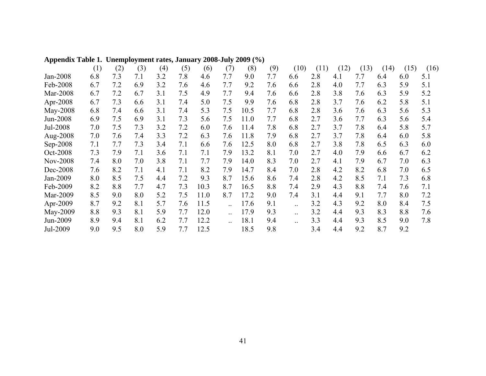|                 | (1) | (2) | (3) | (4) | (5) | (6)  | (7) | (8)  | (9) | (10) | (11) | (12) | (13) | (14) | (15) | (16) |
|-----------------|-----|-----|-----|-----|-----|------|-----|------|-----|------|------|------|------|------|------|------|
| Jan-2008        | 6.8 | 7.3 | 7.1 | 3.2 | 7.8 | 4.6  | 7.7 | 9.0  | 7.7 | 6.6  | 2.8  | 4.1  | 7.7  | 6.4  | 6.0  | 5.1  |
| Feb-2008        | 6.7 | 7.2 | 6.9 | 3.2 | 7.6 | 4.6  | 7.7 | 9.2  | 7.6 | 6.6  | 2.8  | 4.0  | 7.7  | 6.3  | 5.9  | 5.1  |
| Mar-2008        | 6.7 | 7.2 | 6.7 | 3.1 | 7.5 | 4.9  | 7.7 | 9.4  | 7.6 | 6.6  | 2.8  | 3.8  | 7.6  | 6.3  | 5.9  | 5.2  |
| Apr-2008        | 6.7 | 7.3 | 6.6 | 3.1 | 7.4 | 5.0  | 7.5 | 9.9  | 7.6 | 6.8  | 2.8  | 3.7  | 7.6  | 6.2  | 5.8  | 5.1  |
| May-2008        | 6.8 | 7.4 | 6.6 | 3.1 | 7.4 | 5.3  | 7.5 | 10.5 | 7.7 | 6.8  | 2.8  | 3.6  | 7.6  | 6.3  | 5.6  | 5.3  |
| Jun-2008        | 6.9 | 7.5 | 6.9 | 3.1 | 7.3 | 5.6  | 7.5 | 11.0 | 7.7 | 6.8  | 2.7  | 3.6  | 7.7  | 6.3  | 5.6  | 5.4  |
| Jul-2008        | 7.0 | 7.5 | 7.3 | 3.2 | 7.2 | 6.0  | 7.6 | 11.4 | 7.8 | 6.8  | 2.7  | 3.7  | 7.8  | 6.4  | 5.8  | 5.7  |
| Aug-2008        | 7.0 | 7.6 | 7.4 | 3.3 | 7.2 | 6.3  | 7.6 | 11.8 | 7.9 | 6.8  | 2.7  | 3.7  | 7.8  | 6.4  | 6.0  | 5.8  |
| Sep-2008        | 7.1 | 7.7 | 7.3 | 3.4 | 7.1 | 6.6  | 7.6 | 12.5 | 8.0 | 6.8  | 2.7  | 3.8  | 7.8  | 6.5  | 6.3  | 6.0  |
| Oct-2008        | 7.3 | 7.9 | 7.1 | 3.6 | 7.1 | 7.1  | 7.9 | 13.2 | 8.1 | 7.0  | 2.7  | 4.0  | 7.9  | 6.6  | 6.7  | 6.2  |
| <b>Nov-2008</b> | 7.4 | 8.0 | 7.0 | 3.8 | 7.1 | 7.7  | 7.9 | 14.0 | 8.3 | 7.0  | 2.7  | 4.1  | 7.9  | 6.7  | 7.0  | 6.3  |
| Dec-2008        | 7.6 | 8.2 | 7.1 | 4.1 | 7.1 | 8.2  | 7.9 | 14.7 | 8.4 | 7.0  | 2.8  | 4.2  | 8.2  | 6.8  | 7.0  | 6.5  |
| Jan-2009        | 8.0 | 8.5 | 7.5 | 4.4 | 7.2 | 9.3  | 8.7 | 15.6 | 8.6 | 7.4  | 2.8  | 4.2  | 8.5  | 7.1  | 7.3  | 6.8  |
| Feb-2009        | 8.2 | 8.8 | 7.7 | 4.7 | 7.3 | 10.3 | 8.7 | 16.5 | 8.8 | 7.4  | 2.9  | 4.3  | 8.8  | 7.4  | 7.6  | 7.1  |
| Mar-2009        | 8.5 | 9.0 | 8.0 | 5.2 | 7.5 | 11.0 | 8.7 | 17.2 | 9.0 | 7.4  | 3.1  | 4.4  | 9.1  | 7.7  | 8.0  | 7.2  |
| Apr-2009        | 8.7 | 9.2 | 8.1 | 5.7 | 7.6 | 11.5 |     | 17.6 | 9.1 |      | 3.2  | 4.3  | 9.2  | 8.0  | 8.4  | 7.5  |
| May-2009        | 8.8 | 9.3 | 8.1 | 5.9 | 7.7 | 12.0 |     | 17.9 | 9.3 |      | 3.2  | 4.4  | 9.3  | 8.3  | 8.8  | 7.6  |
| Jun-2009        | 8.9 | 9.4 | 8.1 | 6.2 | 7.7 | 12.2 |     | 18.1 | 9.4 |      | 3.3  | 4.4  | 9.3  | 8.5  | 9.0  | 7.8  |
| Jul-2009        | 9.0 | 9.5 | 8.0 | 5.9 | 7.7 | 12.5 |     | 18.5 | 9.8 |      | 3.4  | 4.4  | 9.2  | 8.7  | 9.2  |      |

### **Appendix Table 1. Unemployment rates, January 2008-July 2009 (%)**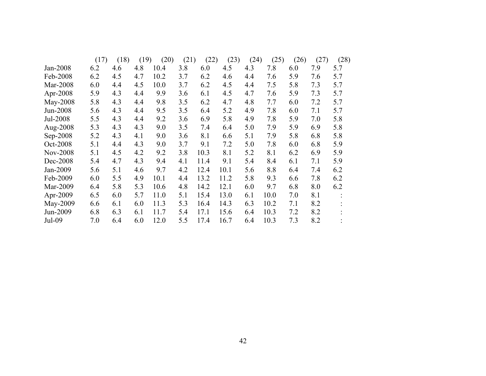|                 | (17) | (18) | (19) | (20) | (21) | (22) | (23) | (24) | (25) | (26) | (27) | (28) |
|-----------------|------|------|------|------|------|------|------|------|------|------|------|------|
| Jan-2008        | 6.2  | 4.6  | 4.8  | 10.4 | 3.8  | 6.0  | 4.5  | 4.3  | 7.8  | 6.0  | 7.9  | 5.7  |
| Feb-2008        | 6.2  | 4.5  | 4.7  | 10.2 | 3.7  | 6.2  | 4.6  | 4.4  | 7.6  | 5.9  | 7.6  | 5.7  |
| Mar-2008        | 6.0  | 4.4  | 4.5  | 10.0 | 3.7  | 6.2  | 4.5  | 4.4  | 7.5  | 5.8  | 7.3  | 5.7  |
| Apr-2008        | 5.9  | 4.3  | 4.4  | 9.9  | 3.6  | 6.1  | 4.5  | 4.7  | 7.6  | 5.9  | 7.3  | 5.7  |
| May-2008        | 5.8  | 4.3  | 4.4  | 9.8  | 3.5  | 6.2  | 4.7  | 4.8  | 7.7  | 6.0  | 7.2  | 5.7  |
| Jun-2008        | 5.6  | 4.3  | 4.4  | 9.5  | 3.5  | 6.4  | 5.2  | 4.9  | 7.8  | 6.0  | 7.1  | 5.7  |
| Jul-2008        | 5.5  | 4.3  | 4.4  | 9.2  | 3.6  | 6.9  | 5.8  | 4.9  | 7.8  | 5.9  | 7.0  | 5.8  |
| Aug-2008        | 5.3  | 4.3  | 4.3  | 9.0  | 3.5  | 7.4  | 6.4  | 5.0  | 7.9  | 5.9  | 6.9  | 5.8  |
| Sep-2008        | 5.2  | 4.3  | 4.1  | 9.0  | 3.6  | 8.1  | 6.6  | 5.1  | 7.9  | 5.8  | 6.8  | 5.8  |
| Oct-2008        | 5.1  | 4.4  | 4.3  | 9.0  | 3.7  | 9.1  | 7.2  | 5.0  | 7.8  | 6.0  | 6.8  | 5.9  |
| <b>Nov-2008</b> | 5.1  | 4.5  | 4.2  | 9.2  | 3.8  | 10.3 | 8.1  | 5.2  | 8.1  | 6.2  | 6.9  | 5.9  |
| Dec-2008        | 5.4  | 4.7  | 4.3  | 9.4  | 4.1  | 11.4 | 9.1  | 5.4  | 8.4  | 6.1  | 7.1  | 5.9  |
| Jan-2009        | 5.6  | 5.1  | 4.6  | 9.7  | 4.2  | 12.4 | 10.1 | 5.6  | 8.8  | 6.4  | 7.4  | 6.2  |
| Feb-2009        | 6.0  | 5.5  | 4.9  | 10.1 | 4.4  | 13.2 | 11.2 | 5.8  | 9.3  | 6.6  | 7.8  | 6.2  |
| Mar-2009        | 6.4  | 5.8  | 5.3  | 10.6 | 4.8  | 14.2 | 12.1 | 6.0  | 9.7  | 6.8  | 8.0  | 6.2  |
| Apr-2009        | 6.5  | 6.0  | 5.7  | 11.0 | 5.1  | 15.4 | 13.0 | 6.1  | 10.0 | 7.0  | 8.1  |      |
| May-2009        | 6.6  | 6.1  | 6.0  | 11.3 | 5.3  | 16.4 | 14.3 | 6.3  | 10.2 | 7.1  | 8.2  |      |
| Jun-2009        | 6.8  | 6.3  | 6.1  | 11.7 | 5.4  | 17.1 | 15.6 | 6.4  | 10.3 | 7.2  | 8.2  |      |
| Jul-09          | 7.0  | 6.4  | 6.0  | 12.0 | 5.5  | 17.4 | 16.7 | 6.4  | 10.3 | 7.3  | 8.2  |      |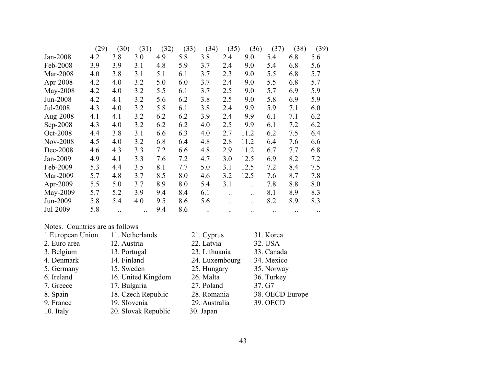|                 | (29) | (30) | (31) | (32) | (33) | (34)      | (35) | (36) | (37)      | (38) | (39) |
|-----------------|------|------|------|------|------|-----------|------|------|-----------|------|------|
| Jan-2008        | 4.2  | 3.8  | 3.0  | 4.9  | 5.8  | 3.8       | 2.4  | 9.0  | 5.4       | 6.8  | 5.6  |
| Feb-2008        | 3.9  | 3.9  | 3.1  | 4.8  | 5.9  | 3.7       | 2.4  | 9.0  | 5.4       | 6.8  | 5.6  |
| Mar-2008        | 4.0  | 3.8  | 3.1  | 5.1  | 6.1  | 3.7       | 2.3  | 9.0  | 5.5       | 6.8  | 5.7  |
| Apr-2008        | 4.2  | 4.0  | 3.2  | 5.0  | 6.0  | 3.7       | 2.4  | 9.0  | 5.5       | 6.8  | 5.7  |
| May-2008        | 4.2  | 4.0  | 3.2  | 5.5  | 6.1  | 3.7       | 2.5  | 9.0  | 5.7       | 6.9  | 5.9  |
| Jun-2008        | 4.2  | 4.1  | 3.2  | 5.6  | 6.2  | 3.8       | 2.5  | 9.0  | 5.8       | 6.9  | 5.9  |
| Jul-2008        | 4.3  | 4.0  | 3.2  | 5.8  | 6.1  | 3.8       | 2.4  | 9.9  | 5.9       | 7.1  | 6.0  |
| Aug-2008        | 4.1  | 4.1  | 3.2  | 6.2  | 6.2  | 3.9       | 2.4  | 9.9  | 6.1       | 7.1  | 6.2  |
| Sep-2008        | 4.3  | 4.0  | 3.2  | 6.2  | 6.2  | 4.0       | 2.5  | 9.9  | 6.1       | 7.2  | 6.2  |
| Oct-2008        | 4.4  | 3.8  | 3.1  | 6.6  | 6.3  | 4.0       | 2.7  | 11.2 | 6.2       | 7.5  | 6.4  |
| <b>Nov-2008</b> | 4.5  | 4.0  | 3.2  | 6.8  | 6.4  | 4.8       | 2.8  | 11.2 | 6.4       | 7.6  | 6.6  |
| Dec-2008        | 4.6  | 4.3  | 3.3  | 7.2  | 6.6  | 4.8       | 2.9  | 11.2 | 6.7       | 7.7  | 6.8  |
| Jan-2009        | 4.9  | 4.1  | 3.3  | 7.6  | 7.2  | 4.7       | 3.0  | 12.5 | 6.9       | 8.2  | 7.2  |
| Feb-2009        | 5.3  | 4.4  | 3.5  | 8.1  | 7.7  | 5.0       | 3.1  | 12.5 | 7.2       | 8.4  | 7.5  |
| Mar-2009        | 5.7  | 4.8  | 3.7  | 8.5  | 8.0  | 4.6       | 3.2  | 12.5 | 7.6       | 8.7  | 7.8  |
| Apr-2009        | 5.5  | 5.0  | 3.7  | 8.9  | 8.0  | 5.4       | 3.1  |      | 7.8       | 8.8  | 8.0  |
| May-2009        | 5.7  | 5.2  | 3.9  | 9.4  | 8.4  | 6.1       |      |      | 8.1       | 8.9  | 8.3  |
| Jun-2009        | 5.8  | 5.4  | 4.0  | 9.5  | 8.6  | 5.6       |      |      | 8.2       | 8.9  | 8.3  |
| Jul-2009        | 5.8  |      |      | 9.4  | 8.6  | $\ddotsc$ |      |      | $\ddotsc$ |      |      |

#### Notes. Countries are as follows

| 1 European Union | 11. Netherlands     | 21. Cyprus     | 31. Korea       |
|------------------|---------------------|----------------|-----------------|
| 2. Euro area     | 12. Austria         | 22. Latvia     | 32. USA         |
| 3. Belgium       | 13. Portugal        | 23. Lithuania  | 33. Canada      |
| 4. Denmark       | 14. Finland         | 24. Luxembourg | 34. Mexico      |
| 5. Germany       | 15. Sweden          | 25. Hungary    | 35. Norway      |
| 6. Ireland       | 16. United Kingdom  | 26. Malta      | 36. Turkey      |
| 7. Greece        | 17. Bulgaria        | 27. Poland     | 37. G7          |
| 8. Spain         | 18. Czech Republic  | 28. Romania    | 38. OECD Europe |
| 9. France        | 19. SIovenia        | 29. Australia  | 39. OECD        |
| 10. Italy        | 20. Slovak Republic | 30. Japan      |                 |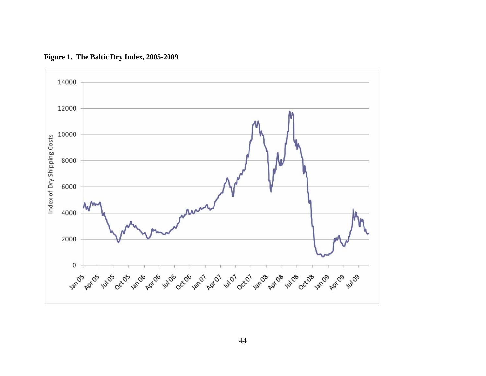

**Figure 1. The Baltic Dry Index, 2005-2009**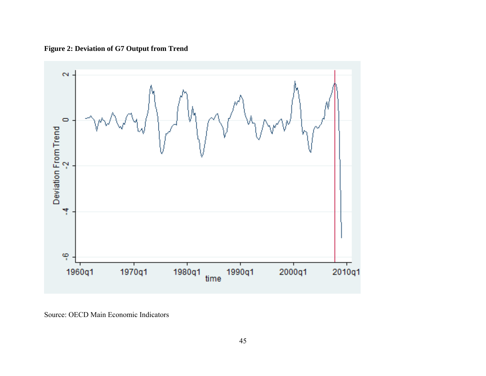**Figure 2: Deviation of G7 Output from Trend**



Source: OECD Main Economic Indicators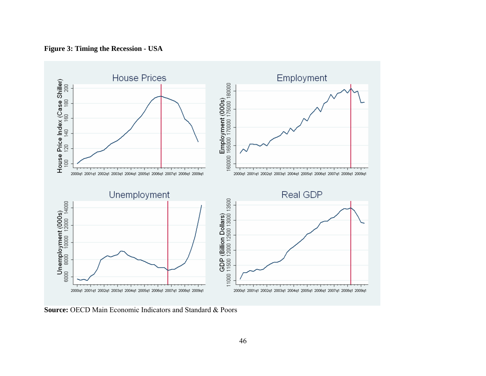

**Figure 3: Timing the Recession - USA** 

**Source: OECD Main Economic Indicators and Standard & Poors**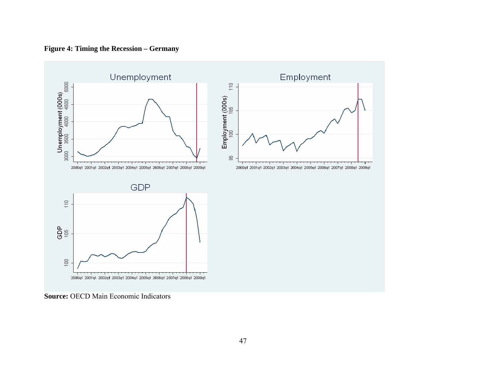

**Figure 4: Timing the Recession – Germany** 

**Source:** OECD Main Economic Indicators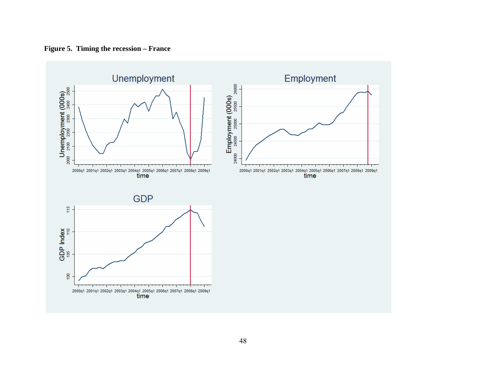

**Figure 5. Timing the recession – France**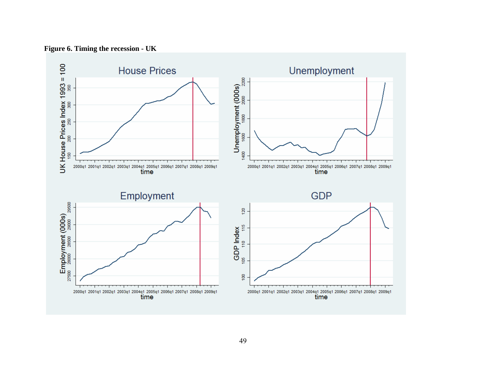